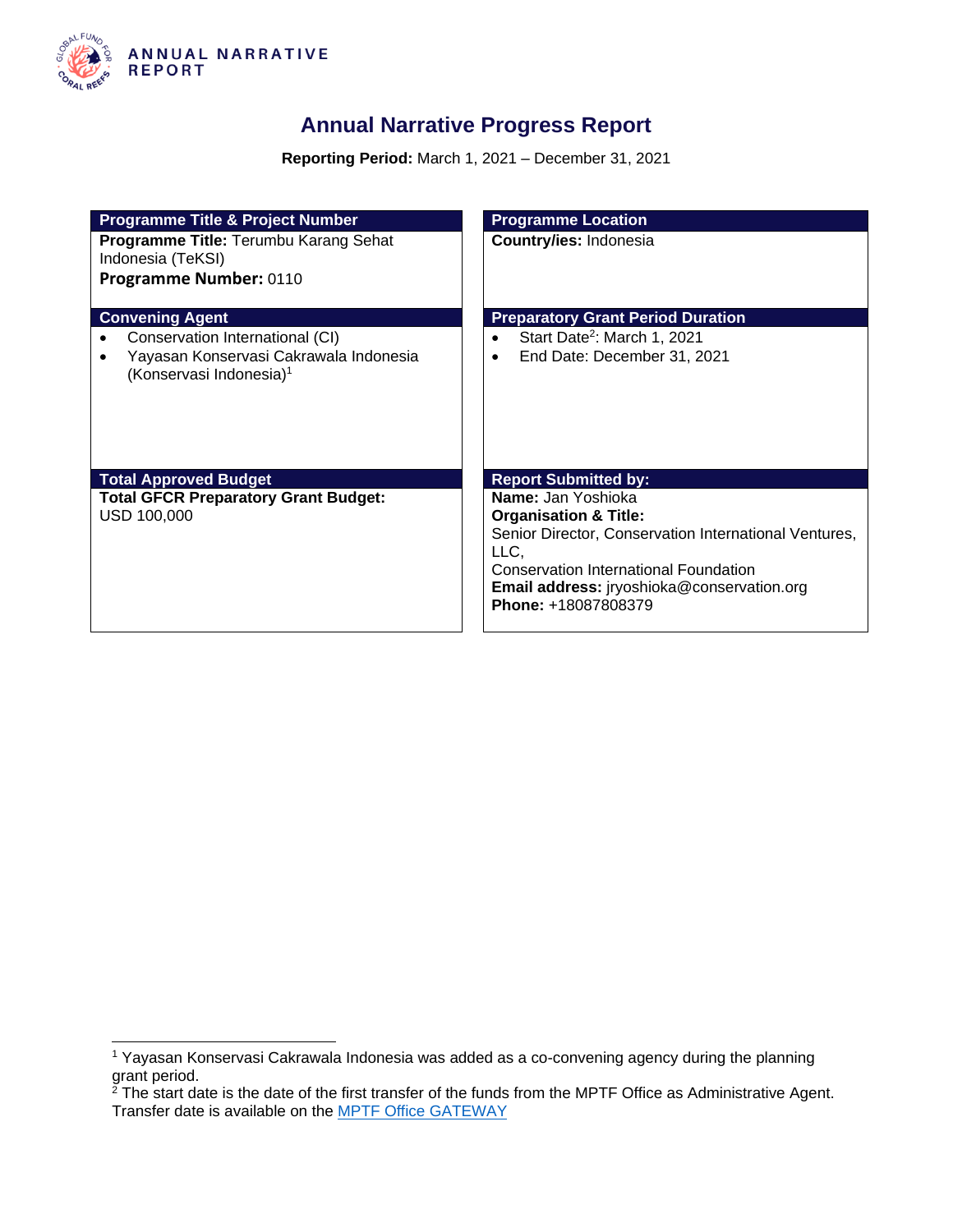

### **Annual Narrative Progress Report**

**Reporting Period:** March 1, 2021 – December 31, 2021

| <b>Programme Title &amp; Project Number</b>                                   | <b>Programme Location</b>                             |
|-------------------------------------------------------------------------------|-------------------------------------------------------|
| Programme Title: Terumbu Karang Sehat<br>Indonesia (TeKSI)                    | Country/ies: Indonesia                                |
| Programme Number: 0110                                                        |                                                       |
| <b>Convening Agent</b>                                                        | <b>Preparatory Grant Period Duration</b>              |
| Conservation International (CI)                                               | Start Date <sup>2</sup> : March 1, 2021               |
| Yayasan Konservasi Cakrawala Indonesia<br>(Konservasi Indonesia) <sup>1</sup> | End Date: December 31, 2021                           |
| <b>Total Approved Budget</b>                                                  | <b>Report Submitted by:</b>                           |
| <b>Total GFCR Preparatory Grant Budget:</b>                                   | Name: Jan Yoshioka                                    |
| USD 100,000                                                                   | <b>Organisation &amp; Title:</b>                      |
|                                                                               | Senior Director, Conservation International Ventures, |
|                                                                               | LLC,<br><b>Conservation International Foundation</b>  |
|                                                                               | <b>Email address:</b> iryoshioka@conservation.org     |
|                                                                               | Phone: +18087808379                                   |

<sup>1</sup> Yayasan Konservasi Cakrawala Indonesia was added as a co-convening agency during the planning grant period.

 $2$  The start date is the date of the first transfer of the funds from the MPTF Office as Administrative Agent. Transfer date is available on the [MPTF Office GATEWAY](http://mdtf.undp.org/)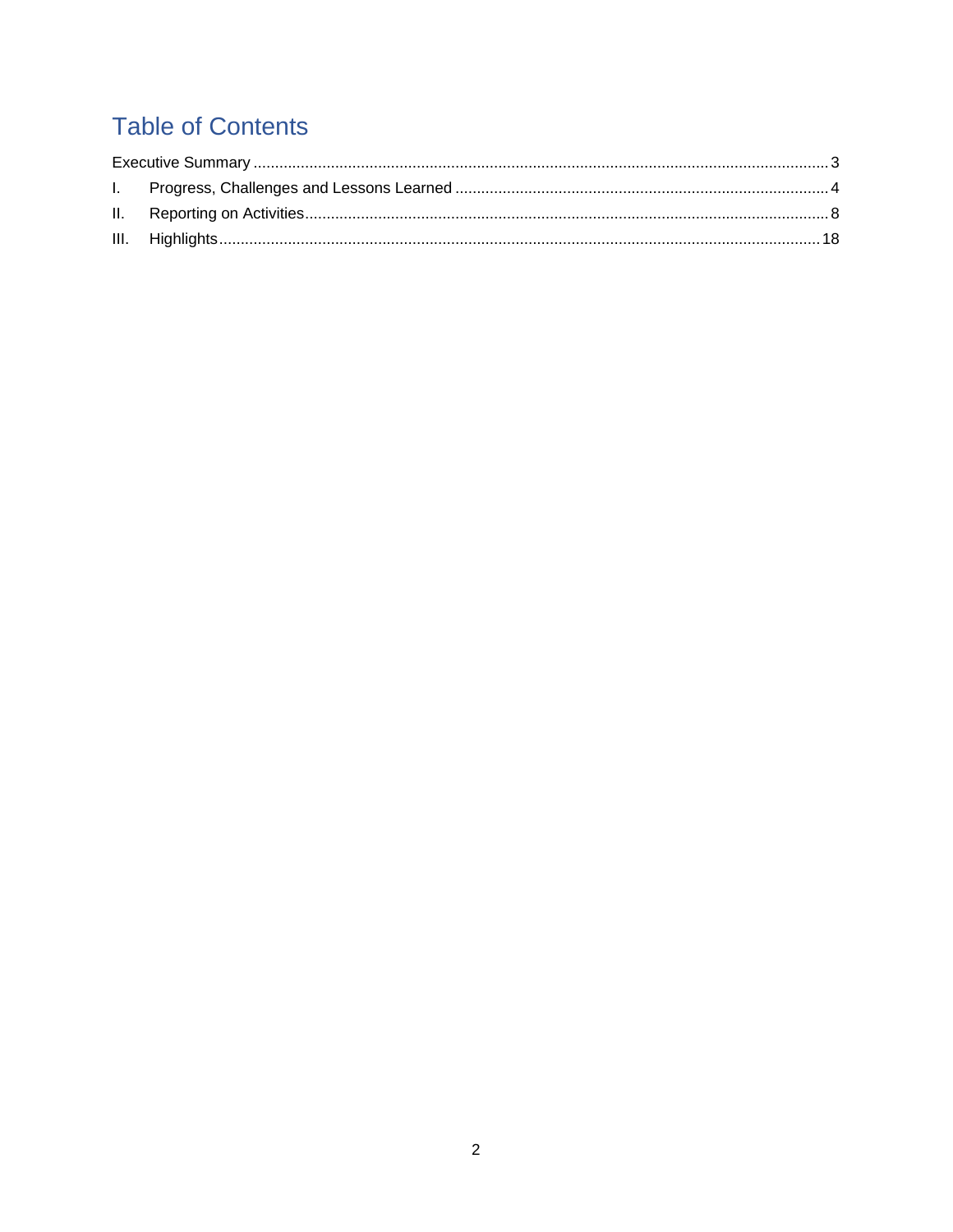# **Table of Contents**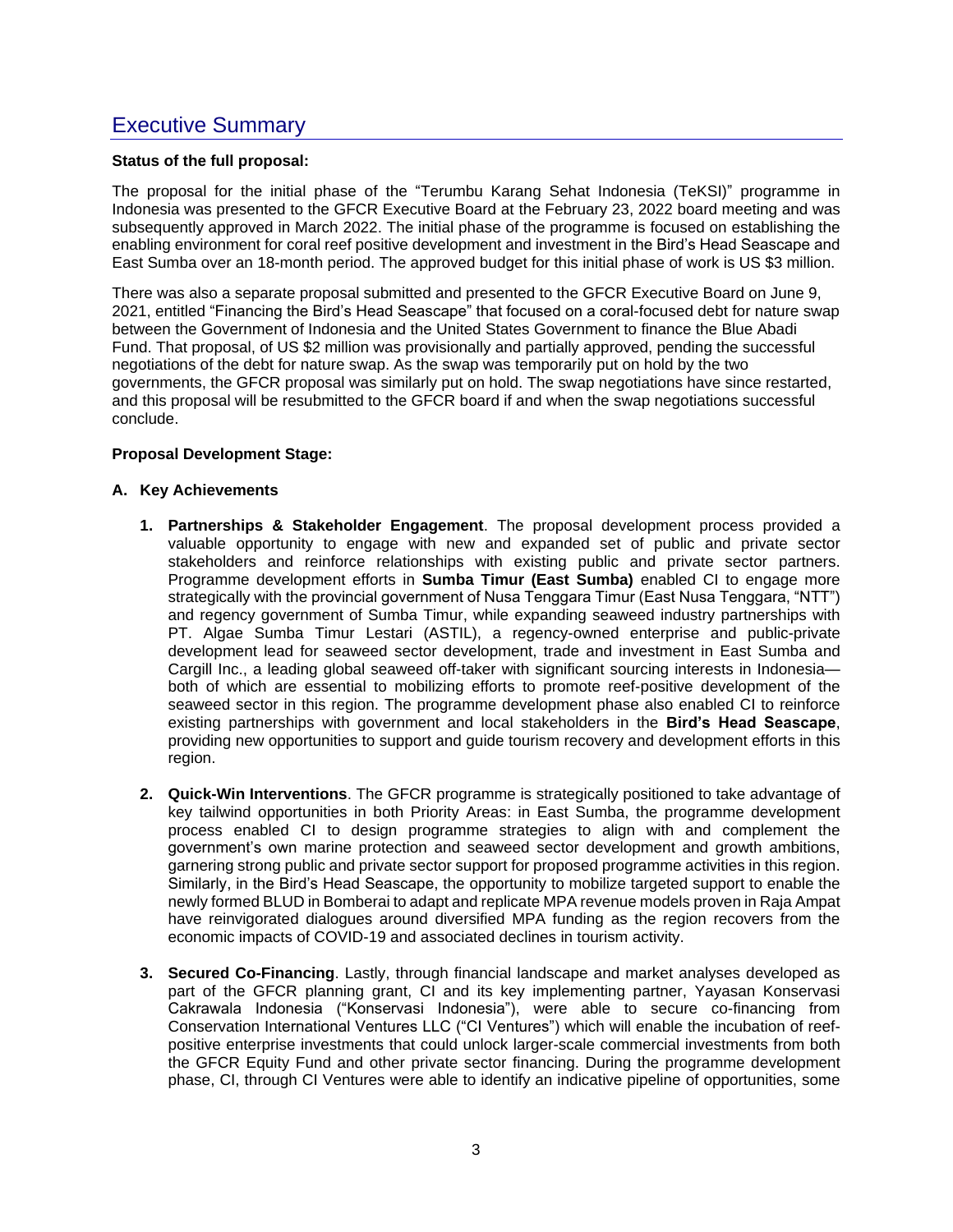### <span id="page-2-0"></span>Executive Summary

#### **Status of the full proposal:**

The proposal for the initial phase of the "Terumbu Karang Sehat Indonesia (TeKSI)" programme in Indonesia was presented to the GFCR Executive Board at the February 23, 2022 board meeting and was subsequently approved in March 2022. The initial phase of the programme is focused on establishing the enabling environment for coral reef positive development and investment in the Bird's Head Seascape and East Sumba over an 18-month period. The approved budget for this initial phase of work is US \$3 million.

There was also a separate proposal submitted and presented to the GFCR Executive Board on June 9, 2021, entitled "Financing the Bird's Head Seascape" that focused on a coral-focused debt for nature swap between the Government of Indonesia and the United States Government to finance the Blue Abadi Fund. That proposal, of US \$2 million was provisionally and partially approved, pending the successful negotiations of the debt for nature swap. As the swap was temporarily put on hold by the two governments, the GFCR proposal was similarly put on hold. The swap negotiations have since restarted, and this proposal will be resubmitted to the GFCR board if and when the swap negotiations successful conclude.

#### **Proposal Development Stage:**

#### **A. Key Achievements**

- **1. Partnerships & Stakeholder Engagement**. The proposal development process provided a valuable opportunity to engage with new and expanded set of public and private sector stakeholders and reinforce relationships with existing public and private sector partners. Programme development efforts in **Sumba Timur (East Sumba)** enabled CI to engage more strategically with the provincial government of Nusa Tenggara Timur (East Nusa Tenggara, "NTT") and regency government of Sumba Timur, while expanding seaweed industry partnerships with PT. Algae Sumba Timur Lestari (ASTIL), a regency-owned enterprise and public-private development lead for seaweed sector development, trade and investment in East Sumba and Cargill Inc., a leading global seaweed off-taker with significant sourcing interests in Indonesia both of which are essential to mobilizing efforts to promote reef-positive development of the seaweed sector in this region. The programme development phase also enabled CI to reinforce existing partnerships with government and local stakeholders in the **Bird's Head Seascape**, providing new opportunities to support and guide tourism recovery and development efforts in this region.
- **2. Quick-Win Interventions**. The GFCR programme is strategically positioned to take advantage of key tailwind opportunities in both Priority Areas: in East Sumba, the programme development process enabled CI to design programme strategies to align with and complement the government's own marine protection and seaweed sector development and growth ambitions, garnering strong public and private sector support for proposed programme activities in this region. Similarly, in the Bird's Head Seascape, the opportunity to mobilize targeted support to enable the newly formed BLUD in Bomberai to adapt and replicate MPA revenue models proven in Raja Ampat have reinvigorated dialogues around diversified MPA funding as the region recovers from the economic impacts of COVID-19 and associated declines in tourism activity.
- **3. Secured Co-Financing**. Lastly, through financial landscape and market analyses developed as part of the GFCR planning grant, CI and its key implementing partner, Yayasan Konservasi Cakrawala Indonesia ("Konservasi Indonesia"), were able to secure co-financing from Conservation International Ventures LLC ("CI Ventures") which will enable the incubation of reefpositive enterprise investments that could unlock larger-scale commercial investments from both the GFCR Equity Fund and other private sector financing. During the programme development phase, CI, through CI Ventures were able to identify an indicative pipeline of opportunities, some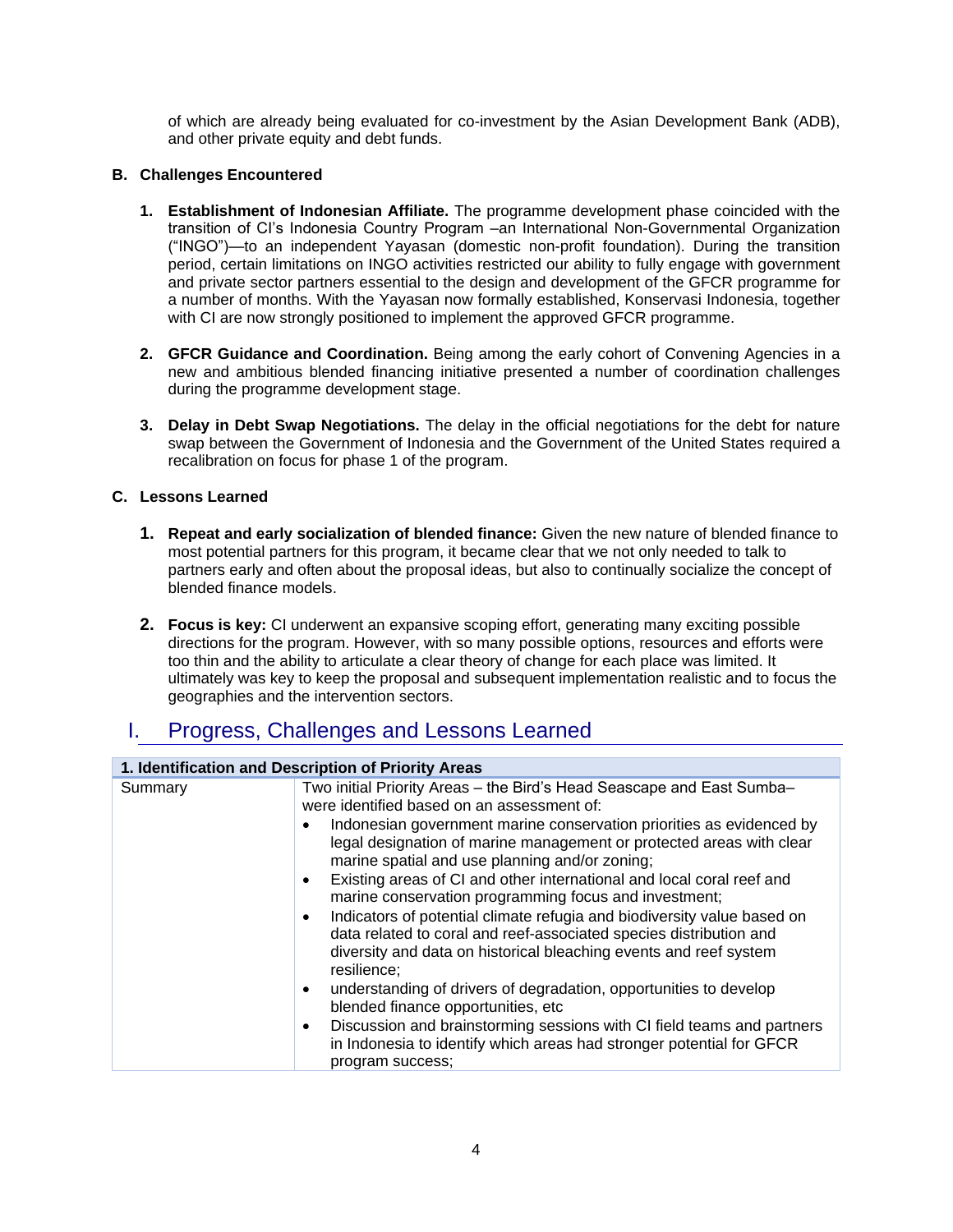of which are already being evaluated for co-investment by the Asian Development Bank (ADB), and other private equity and debt funds.

#### **B. Challenges Encountered**

- **1. Establishment of Indonesian Affiliate.** The programme development phase coincided with the transition of CI's Indonesia Country Program –an International Non-Governmental Organization ("INGO")—to an independent Yayasan (domestic non-profit foundation). During the transition period, certain limitations on INGO activities restricted our ability to fully engage with government and private sector partners essential to the design and development of the GFCR programme for a number of months. With the Yayasan now formally established, Konservasi Indonesia, together with CI are now strongly positioned to implement the approved GFCR programme.
- **2. GFCR Guidance and Coordination.** Being among the early cohort of Convening Agencies in a new and ambitious blended financing initiative presented a number of coordination challenges during the programme development stage.
- **3. Delay in Debt Swap Negotiations.** The delay in the official negotiations for the debt for nature swap between the Government of Indonesia and the Government of the United States required a recalibration on focus for phase 1 of the program.

#### **C. Lessons Learned**

- **1. Repeat and early socialization of blended finance:** Given the new nature of blended finance to most potential partners for this program, it became clear that we not only needed to talk to partners early and often about the proposal ideas, but also to continually socialize the concept of blended finance models.
- **2. Focus is key:** CI underwent an expansive scoping effort, generating many exciting possible directions for the program. However, with so many possible options, resources and efforts were too thin and the ability to articulate a clear theory of change for each place was limited. It ultimately was key to keep the proposal and subsequent implementation realistic and to focus the geographies and the intervention sectors.

### <span id="page-3-0"></span>I. Progress, Challenges and Lessons Learned

| 1. Identification and Description of Priority Areas |                                                                                                                                                                                                                                                                                                                                                                                                                                                                                                                                                                                                                                                                                                                                                                                                                                                                                                                                                                                                                                                |  |
|-----------------------------------------------------|------------------------------------------------------------------------------------------------------------------------------------------------------------------------------------------------------------------------------------------------------------------------------------------------------------------------------------------------------------------------------------------------------------------------------------------------------------------------------------------------------------------------------------------------------------------------------------------------------------------------------------------------------------------------------------------------------------------------------------------------------------------------------------------------------------------------------------------------------------------------------------------------------------------------------------------------------------------------------------------------------------------------------------------------|--|
| Summary                                             | Two initial Priority Areas - the Bird's Head Seascape and East Sumba-<br>were identified based on an assessment of:<br>Indonesian government marine conservation priorities as evidenced by<br>$\bullet$<br>legal designation of marine management or protected areas with clear<br>marine spatial and use planning and/or zoning;<br>Existing areas of CI and other international and local coral reef and<br>$\bullet$<br>marine conservation programming focus and investment;<br>Indicators of potential climate refugia and biodiversity value based on<br>$\bullet$<br>data related to coral and reef-associated species distribution and<br>diversity and data on historical bleaching events and reef system<br>resilience:<br>understanding of drivers of degradation, opportunities to develop<br>$\bullet$<br>blended finance opportunities, etc<br>Discussion and brainstorming sessions with CI field teams and partners<br>$\bullet$<br>in Indonesia to identify which areas had stronger potential for GFCR<br>program success; |  |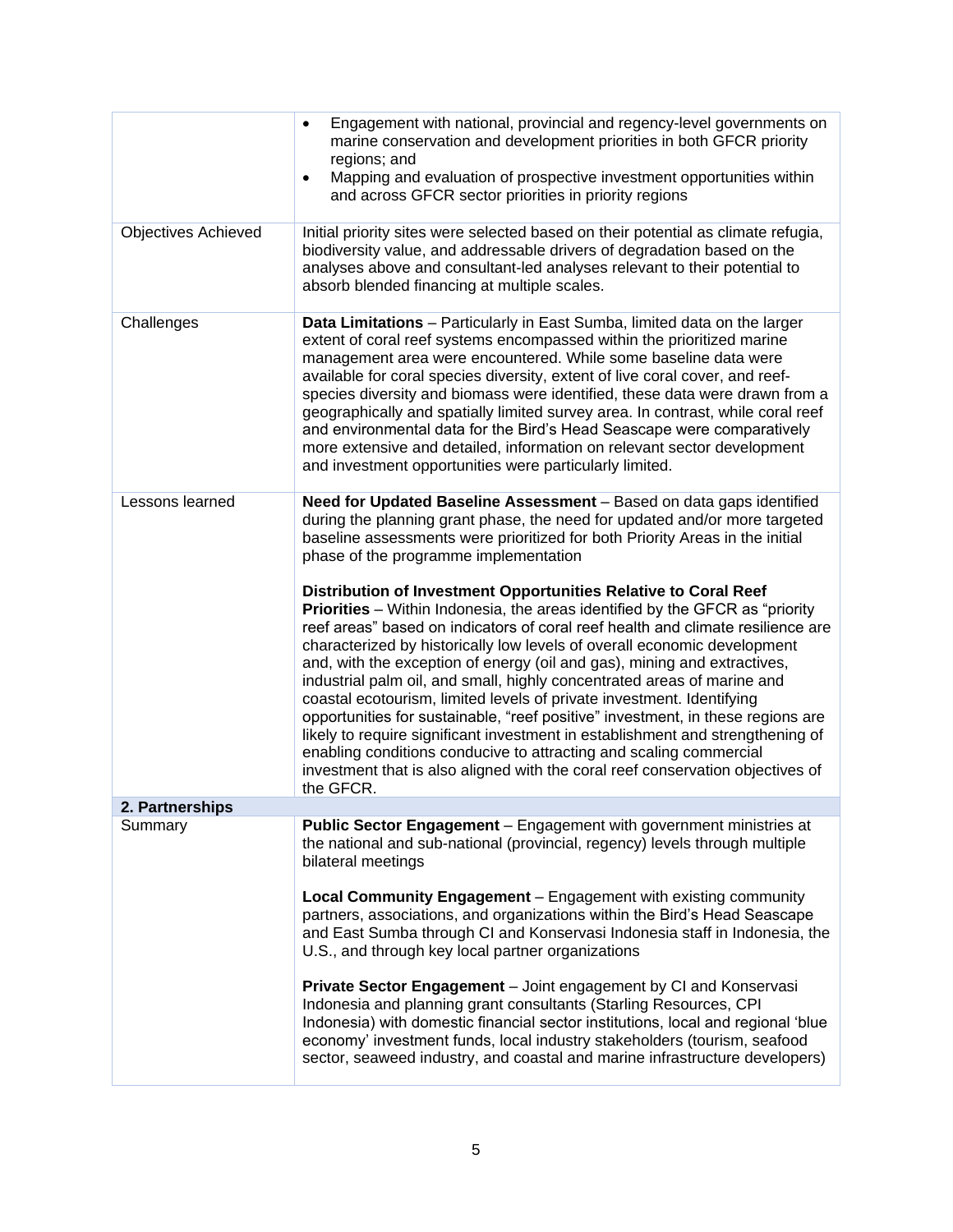|                            | Engagement with national, provincial and regency-level governments on<br>$\bullet$<br>marine conservation and development priorities in both GFCR priority<br>regions; and<br>Mapping and evaluation of prospective investment opportunities within<br>$\bullet$<br>and across GFCR sector priorities in priority regions                                                                                                                                                                                                                                                                                                                                                                                                                                                                                                                                                                                                                                                                                                                                                                                                                                                       |
|----------------------------|---------------------------------------------------------------------------------------------------------------------------------------------------------------------------------------------------------------------------------------------------------------------------------------------------------------------------------------------------------------------------------------------------------------------------------------------------------------------------------------------------------------------------------------------------------------------------------------------------------------------------------------------------------------------------------------------------------------------------------------------------------------------------------------------------------------------------------------------------------------------------------------------------------------------------------------------------------------------------------------------------------------------------------------------------------------------------------------------------------------------------------------------------------------------------------|
| <b>Objectives Achieved</b> | Initial priority sites were selected based on their potential as climate refugia,<br>biodiversity value, and addressable drivers of degradation based on the<br>analyses above and consultant-led analyses relevant to their potential to<br>absorb blended financing at multiple scales.                                                                                                                                                                                                                                                                                                                                                                                                                                                                                                                                                                                                                                                                                                                                                                                                                                                                                       |
| Challenges                 | Data Limitations - Particularly in East Sumba, limited data on the larger<br>extent of coral reef systems encompassed within the prioritized marine<br>management area were encountered. While some baseline data were<br>available for coral species diversity, extent of live coral cover, and reef-<br>species diversity and biomass were identified, these data were drawn from a<br>geographically and spatially limited survey area. In contrast, while coral reef<br>and environmental data for the Bird's Head Seascape were comparatively<br>more extensive and detailed, information on relevant sector development<br>and investment opportunities were particularly limited.                                                                                                                                                                                                                                                                                                                                                                                                                                                                                        |
| Lessons learned            | Need for Updated Baseline Assessment - Based on data gaps identified<br>during the planning grant phase, the need for updated and/or more targeted<br>baseline assessments were prioritized for both Priority Areas in the initial<br>phase of the programme implementation<br>Distribution of Investment Opportunities Relative to Coral Reef<br><b>Priorities</b> – Within Indonesia, the areas identified by the GFCR as "priority"<br>reef areas" based on indicators of coral reef health and climate resilience are<br>characterized by historically low levels of overall economic development<br>and, with the exception of energy (oil and gas), mining and extractives,<br>industrial palm oil, and small, highly concentrated areas of marine and<br>coastal ecotourism, limited levels of private investment. Identifying<br>opportunities for sustainable, "reef positive" investment, in these regions are<br>likely to require significant investment in establishment and strengthening of<br>enabling conditions conducive to attracting and scaling commercial<br>investment that is also aligned with the coral reef conservation objectives of<br>the GFCR. |
| 2. Partnerships            |                                                                                                                                                                                                                                                                                                                                                                                                                                                                                                                                                                                                                                                                                                                                                                                                                                                                                                                                                                                                                                                                                                                                                                                 |
| Summary                    | Public Sector Engagement - Engagement with government ministries at<br>the national and sub-national (provincial, regency) levels through multiple<br>bilateral meetings                                                                                                                                                                                                                                                                                                                                                                                                                                                                                                                                                                                                                                                                                                                                                                                                                                                                                                                                                                                                        |
|                            | <b>Local Community Engagement</b> – Engagement with existing community<br>partners, associations, and organizations within the Bird's Head Seascape<br>and East Sumba through CI and Konservasi Indonesia staff in Indonesia, the<br>U.S., and through key local partner organizations                                                                                                                                                                                                                                                                                                                                                                                                                                                                                                                                                                                                                                                                                                                                                                                                                                                                                          |
|                            | Private Sector Engagement - Joint engagement by CI and Konservasi<br>Indonesia and planning grant consultants (Starling Resources, CPI<br>Indonesia) with domestic financial sector institutions, local and regional 'blue<br>economy' investment funds, local industry stakeholders (tourism, seafood<br>sector, seaweed industry, and coastal and marine infrastructure developers)                                                                                                                                                                                                                                                                                                                                                                                                                                                                                                                                                                                                                                                                                                                                                                                           |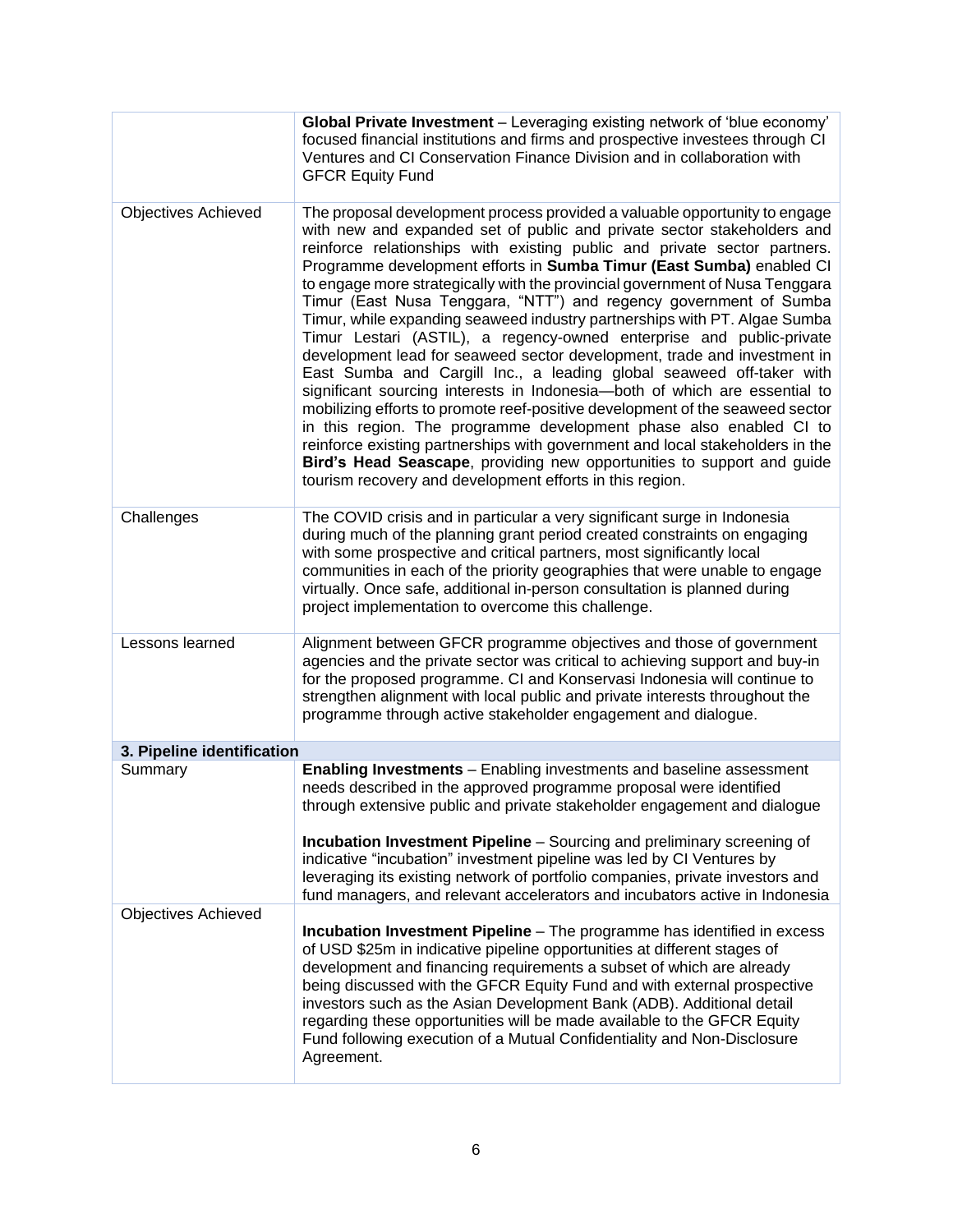|                            | Global Private Investment - Leveraging existing network of 'blue economy'<br>focused financial institutions and firms and prospective investees through CI<br>Ventures and CI Conservation Finance Division and in collaboration with<br><b>GFCR Equity Fund</b>                                                                                                                                                                                                                                                                                                                                                                                                                                                                                                                                                                                                                                                                                                                                                                                                                                                                                                                                                                     |
|----------------------------|--------------------------------------------------------------------------------------------------------------------------------------------------------------------------------------------------------------------------------------------------------------------------------------------------------------------------------------------------------------------------------------------------------------------------------------------------------------------------------------------------------------------------------------------------------------------------------------------------------------------------------------------------------------------------------------------------------------------------------------------------------------------------------------------------------------------------------------------------------------------------------------------------------------------------------------------------------------------------------------------------------------------------------------------------------------------------------------------------------------------------------------------------------------------------------------------------------------------------------------|
| <b>Objectives Achieved</b> | The proposal development process provided a valuable opportunity to engage<br>with new and expanded set of public and private sector stakeholders and<br>reinforce relationships with existing public and private sector partners.<br>Programme development efforts in Sumba Timur (East Sumba) enabled CI<br>to engage more strategically with the provincial government of Nusa Tenggara<br>Timur (East Nusa Tenggara, "NTT") and regency government of Sumba<br>Timur, while expanding seaweed industry partnerships with PT. Algae Sumba<br>Timur Lestari (ASTIL), a regency-owned enterprise and public-private<br>development lead for seaweed sector development, trade and investment in<br>East Sumba and Cargill Inc., a leading global seaweed off-taker with<br>significant sourcing interests in Indonesia-both of which are essential to<br>mobilizing efforts to promote reef-positive development of the seaweed sector<br>in this region. The programme development phase also enabled CI to<br>reinforce existing partnerships with government and local stakeholders in the<br>Bird's Head Seascape, providing new opportunities to support and guide<br>tourism recovery and development efforts in this region. |
| Challenges                 | The COVID crisis and in particular a very significant surge in Indonesia<br>during much of the planning grant period created constraints on engaging<br>with some prospective and critical partners, most significantly local<br>communities in each of the priority geographies that were unable to engage<br>virtually. Once safe, additional in-person consultation is planned during<br>project implementation to overcome this challenge.                                                                                                                                                                                                                                                                                                                                                                                                                                                                                                                                                                                                                                                                                                                                                                                       |
| Lessons learned            | Alignment between GFCR programme objectives and those of government<br>agencies and the private sector was critical to achieving support and buy-in<br>for the proposed programme. CI and Konservasi Indonesia will continue to<br>strengthen alignment with local public and private interests throughout the<br>programme through active stakeholder engagement and dialogue.                                                                                                                                                                                                                                                                                                                                                                                                                                                                                                                                                                                                                                                                                                                                                                                                                                                      |
| 3. Pipeline identification |                                                                                                                                                                                                                                                                                                                                                                                                                                                                                                                                                                                                                                                                                                                                                                                                                                                                                                                                                                                                                                                                                                                                                                                                                                      |
| Summary                    | Enabling Investments - Enabling investments and baseline assessment<br>needs described in the approved programme proposal were identified<br>through extensive public and private stakeholder engagement and dialogue                                                                                                                                                                                                                                                                                                                                                                                                                                                                                                                                                                                                                                                                                                                                                                                                                                                                                                                                                                                                                |
|                            | Incubation Investment Pipeline - Sourcing and preliminary screening of<br>indicative "incubation" investment pipeline was led by CI Ventures by<br>leveraging its existing network of portfolio companies, private investors and<br>fund managers, and relevant accelerators and incubators active in Indonesia                                                                                                                                                                                                                                                                                                                                                                                                                                                                                                                                                                                                                                                                                                                                                                                                                                                                                                                      |
| <b>Objectives Achieved</b> | <b>Incubation Investment Pipeline</b> - The programme has identified in excess<br>of USD \$25m in indicative pipeline opportunities at different stages of<br>development and financing requirements a subset of which are already<br>being discussed with the GFCR Equity Fund and with external prospective<br>investors such as the Asian Development Bank (ADB). Additional detail<br>regarding these opportunities will be made available to the GFCR Equity<br>Fund following execution of a Mutual Confidentiality and Non-Disclosure<br>Agreement.                                                                                                                                                                                                                                                                                                                                                                                                                                                                                                                                                                                                                                                                           |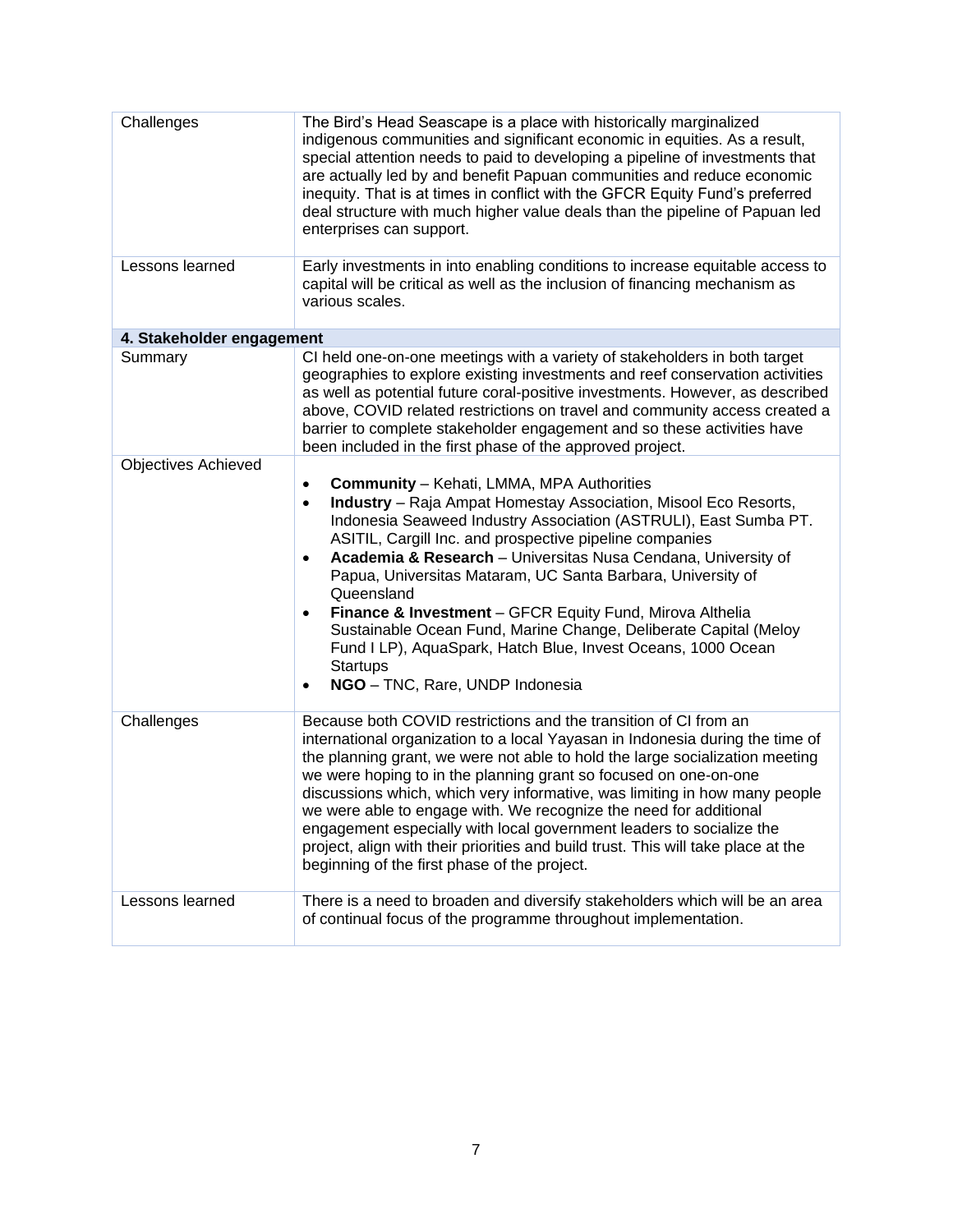| Challenges                 | The Bird's Head Seascape is a place with historically marginalized<br>indigenous communities and significant economic in equities. As a result,<br>special attention needs to paid to developing a pipeline of investments that<br>are actually led by and benefit Papuan communities and reduce economic<br>inequity. That is at times in conflict with the GFCR Equity Fund's preferred<br>deal structure with much higher value deals than the pipeline of Papuan led<br>enterprises can support.                                                                                                                                                                                                       |
|----------------------------|------------------------------------------------------------------------------------------------------------------------------------------------------------------------------------------------------------------------------------------------------------------------------------------------------------------------------------------------------------------------------------------------------------------------------------------------------------------------------------------------------------------------------------------------------------------------------------------------------------------------------------------------------------------------------------------------------------|
| Lessons learned            | Early investments in into enabling conditions to increase equitable access to<br>capital will be critical as well as the inclusion of financing mechanism as<br>various scales.                                                                                                                                                                                                                                                                                                                                                                                                                                                                                                                            |
| 4. Stakeholder engagement  |                                                                                                                                                                                                                                                                                                                                                                                                                                                                                                                                                                                                                                                                                                            |
| Summary                    | CI held one-on-one meetings with a variety of stakeholders in both target<br>geographies to explore existing investments and reef conservation activities<br>as well as potential future coral-positive investments. However, as described<br>above, COVID related restrictions on travel and community access created a<br>barrier to complete stakeholder engagement and so these activities have<br>been included in the first phase of the approved project.                                                                                                                                                                                                                                           |
| <b>Objectives Achieved</b> |                                                                                                                                                                                                                                                                                                                                                                                                                                                                                                                                                                                                                                                                                                            |
|                            | <b>Community</b> - Kehati, LMMA, MPA Authorities<br>$\bullet$<br>Industry - Raja Ampat Homestay Association, Misool Eco Resorts,<br>$\bullet$<br>Indonesia Seaweed Industry Association (ASTRULI), East Sumba PT.<br>ASITIL, Cargill Inc. and prospective pipeline companies<br>Academia & Research - Universitas Nusa Cendana, University of<br>$\bullet$<br>Papua, Universitas Mataram, UC Santa Barbara, University of<br>Queensland<br>Finance & Investment - GFCR Equity Fund, Mirova Althelia<br>Sustainable Ocean Fund, Marine Change, Deliberate Capital (Meloy<br>Fund I LP), AquaSpark, Hatch Blue, Invest Oceans, 1000 Ocean<br><b>Startups</b><br>NGO - TNC, Rare, UNDP Indonesia<br>$\bullet$ |
| Challenges                 | Because both COVID restrictions and the transition of CI from an<br>international organization to a local Yayasan in Indonesia during the time of<br>the planning grant, we were not able to hold the large socialization meeting<br>we were hoping to in the planning grant so focused on one-on-one<br>discussions which, which very informative, was limiting in how many people<br>we were able to engage with. We recognize the need for additional<br>engagement especially with local government leaders to socialize the<br>project, align with their priorities and build trust. This will take place at the<br>beginning of the first phase of the project.                                      |
| Lessons learned            | There is a need to broaden and diversify stakeholders which will be an area<br>of continual focus of the programme throughout implementation.                                                                                                                                                                                                                                                                                                                                                                                                                                                                                                                                                              |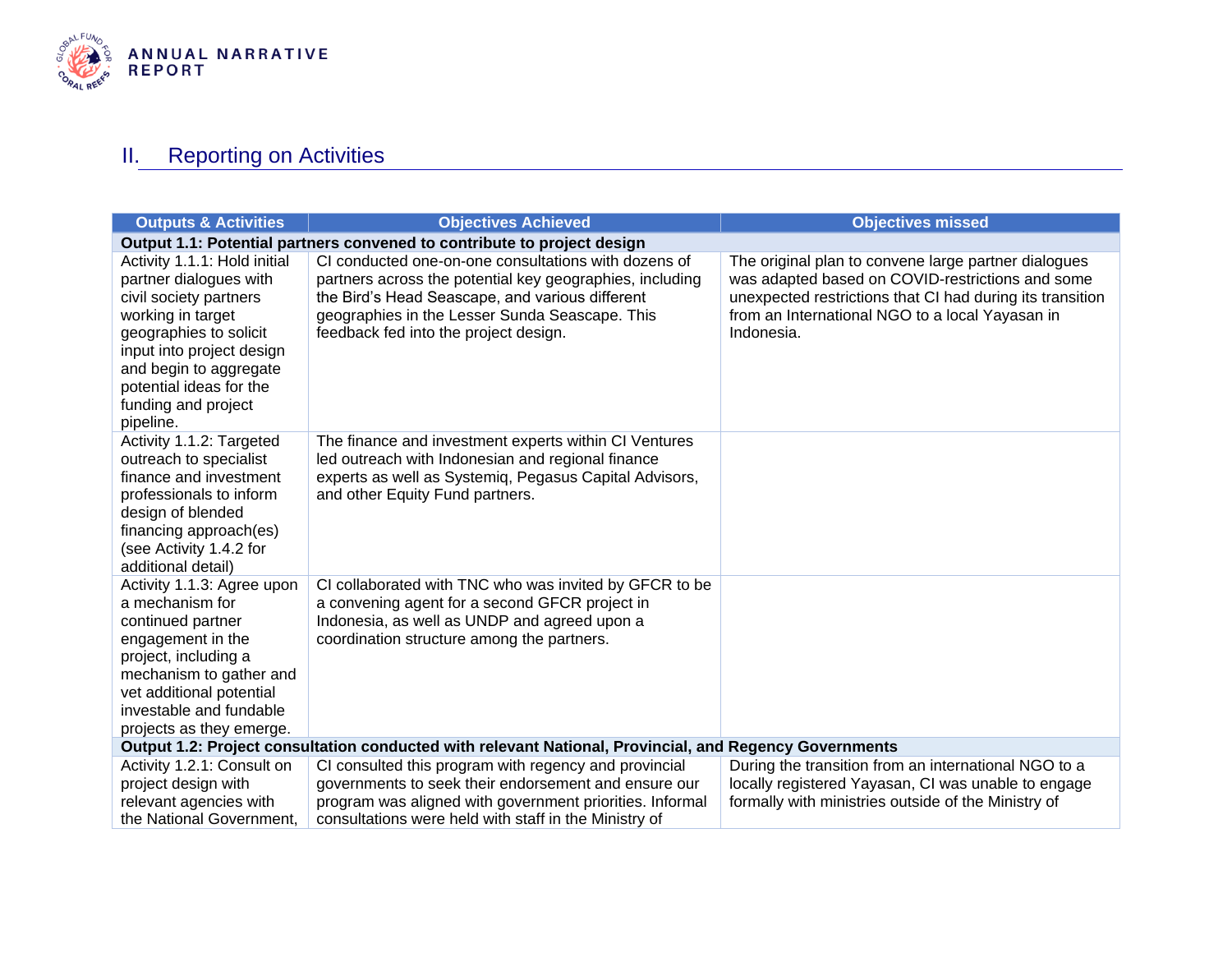

## **II.** Reporting on Activities

<span id="page-7-0"></span>

| <b>Outputs &amp; Activities</b>                                                                                                                                                                                                                       | <b>Objectives Achieved</b>                                                                                                                                                                                                                                     | <b>Objectives missed</b>                                                                                                                                                                                                               |  |  |
|-------------------------------------------------------------------------------------------------------------------------------------------------------------------------------------------------------------------------------------------------------|----------------------------------------------------------------------------------------------------------------------------------------------------------------------------------------------------------------------------------------------------------------|----------------------------------------------------------------------------------------------------------------------------------------------------------------------------------------------------------------------------------------|--|--|
|                                                                                                                                                                                                                                                       | Output 1.1: Potential partners convened to contribute to project design                                                                                                                                                                                        |                                                                                                                                                                                                                                        |  |  |
| Activity 1.1.1: Hold initial<br>partner dialogues with<br>civil society partners<br>working in target<br>geographies to solicit<br>input into project design<br>and begin to aggregate<br>potential ideas for the<br>funding and project<br>pipeline. | CI conducted one-on-one consultations with dozens of<br>partners across the potential key geographies, including<br>the Bird's Head Seascape, and various different<br>geographies in the Lesser Sunda Seascape. This<br>feedback fed into the project design. | The original plan to convene large partner dialogues<br>was adapted based on COVID-restrictions and some<br>unexpected restrictions that CI had during its transition<br>from an International NGO to a local Yayasan in<br>Indonesia. |  |  |
| Activity 1.1.2: Targeted<br>outreach to specialist<br>finance and investment<br>professionals to inform<br>design of blended<br>financing approach(es)<br>(see Activity 1.4.2 for<br>additional detail)                                               | The finance and investment experts within CI Ventures<br>led outreach with Indonesian and regional finance<br>experts as well as Systemiq, Pegasus Capital Advisors,<br>and other Equity Fund partners.                                                        |                                                                                                                                                                                                                                        |  |  |
| Activity 1.1.3: Agree upon<br>a mechanism for<br>continued partner<br>engagement in the<br>project, including a<br>mechanism to gather and<br>vet additional potential<br>investable and fundable<br>projects as they emerge.                         | CI collaborated with TNC who was invited by GFCR to be<br>a convening agent for a second GFCR project in<br>Indonesia, as well as UNDP and agreed upon a<br>coordination structure among the partners.                                                         |                                                                                                                                                                                                                                        |  |  |
|                                                                                                                                                                                                                                                       | Output 1.2: Project consultation conducted with relevant National, Provincial, and Regency Governments                                                                                                                                                         |                                                                                                                                                                                                                                        |  |  |
| Activity 1.2.1: Consult on<br>project design with<br>relevant agencies with<br>the National Government,                                                                                                                                               | CI consulted this program with regency and provincial<br>governments to seek their endorsement and ensure our<br>program was aligned with government priorities. Informal<br>consultations were held with staff in the Ministry of                             | During the transition from an international NGO to a<br>locally registered Yayasan, CI was unable to engage<br>formally with ministries outside of the Ministry of                                                                     |  |  |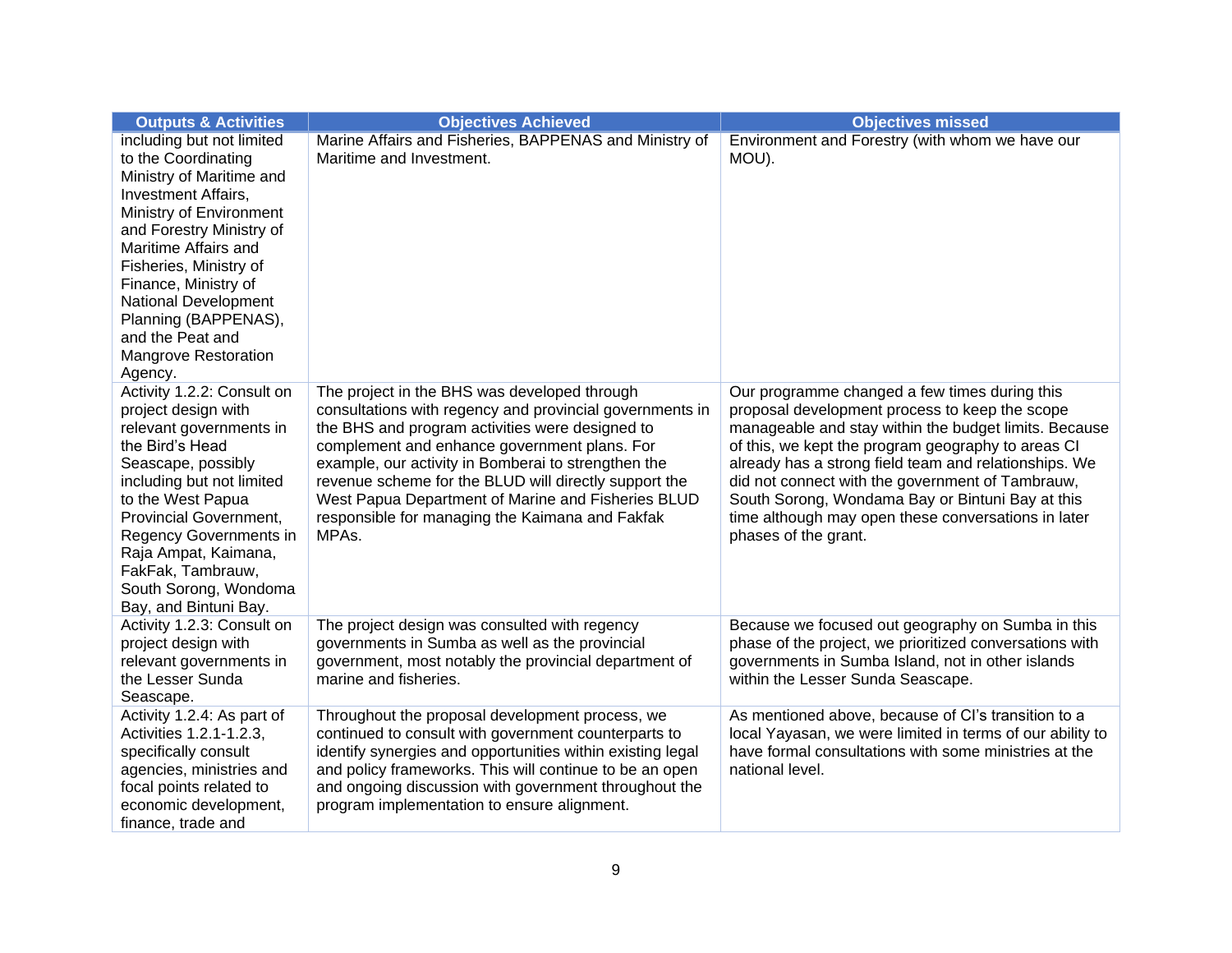| <b>Outputs &amp; Activities</b>                                                                                                                                                                                                                                                                                                                           | <b>Objectives Achieved</b>                                                                                                                                                                                                                                                                                                                                                                                                                    | <b>Objectives missed</b>                                                                                                                                                                                                                                                                                                                                                                                                                                       |
|-----------------------------------------------------------------------------------------------------------------------------------------------------------------------------------------------------------------------------------------------------------------------------------------------------------------------------------------------------------|-----------------------------------------------------------------------------------------------------------------------------------------------------------------------------------------------------------------------------------------------------------------------------------------------------------------------------------------------------------------------------------------------------------------------------------------------|----------------------------------------------------------------------------------------------------------------------------------------------------------------------------------------------------------------------------------------------------------------------------------------------------------------------------------------------------------------------------------------------------------------------------------------------------------------|
| including but not limited<br>to the Coordinating<br>Ministry of Maritime and<br><b>Investment Affairs,</b><br>Ministry of Environment<br>and Forestry Ministry of<br>Maritime Affairs and<br>Fisheries, Ministry of<br>Finance, Ministry of<br>National Development<br>Planning (BAPPENAS),<br>and the Peat and<br><b>Mangrove Restoration</b><br>Agency. | Marine Affairs and Fisheries, BAPPENAS and Ministry of<br>Maritime and Investment.                                                                                                                                                                                                                                                                                                                                                            | Environment and Forestry (with whom we have our<br>MOU).                                                                                                                                                                                                                                                                                                                                                                                                       |
| Activity 1.2.2: Consult on<br>project design with<br>relevant governments in<br>the Bird's Head<br>Seascape, possibly<br>including but not limited<br>to the West Papua<br>Provincial Government,<br>Regency Governments in<br>Raja Ampat, Kaimana,<br>FakFak, Tambrauw,<br>South Sorong, Wondoma<br>Bay, and Bintuni Bay.                                | The project in the BHS was developed through<br>consultations with regency and provincial governments in<br>the BHS and program activities were designed to<br>complement and enhance government plans. For<br>example, our activity in Bomberai to strengthen the<br>revenue scheme for the BLUD will directly support the<br>West Papua Department of Marine and Fisheries BLUD<br>responsible for managing the Kaimana and Fakfak<br>MPAs. | Our programme changed a few times during this<br>proposal development process to keep the scope<br>manageable and stay within the budget limits. Because<br>of this, we kept the program geography to areas CI<br>already has a strong field team and relationships. We<br>did not connect with the government of Tambrauw,<br>South Sorong, Wondama Bay or Bintuni Bay at this<br>time although may open these conversations in later<br>phases of the grant. |
| Activity 1.2.3: Consult on<br>project design with<br>relevant governments in<br>the Lesser Sunda<br>Seascape.                                                                                                                                                                                                                                             | The project design was consulted with regency<br>governments in Sumba as well as the provincial<br>government, most notably the provincial department of<br>marine and fisheries.                                                                                                                                                                                                                                                             | Because we focused out geography on Sumba in this<br>phase of the project, we prioritized conversations with<br>governments in Sumba Island, not in other islands<br>within the Lesser Sunda Seascape.                                                                                                                                                                                                                                                         |
| Activity 1.2.4: As part of<br>Activities 1.2.1-1.2.3,<br>specifically consult<br>agencies, ministries and<br>focal points related to<br>economic development,<br>finance, trade and                                                                                                                                                                       | Throughout the proposal development process, we<br>continued to consult with government counterparts to<br>identify synergies and opportunities within existing legal<br>and policy frameworks. This will continue to be an open<br>and ongoing discussion with government throughout the<br>program implementation to ensure alignment.                                                                                                      | As mentioned above, because of Cl's transition to a<br>local Yayasan, we were limited in terms of our ability to<br>have formal consultations with some ministries at the<br>national level.                                                                                                                                                                                                                                                                   |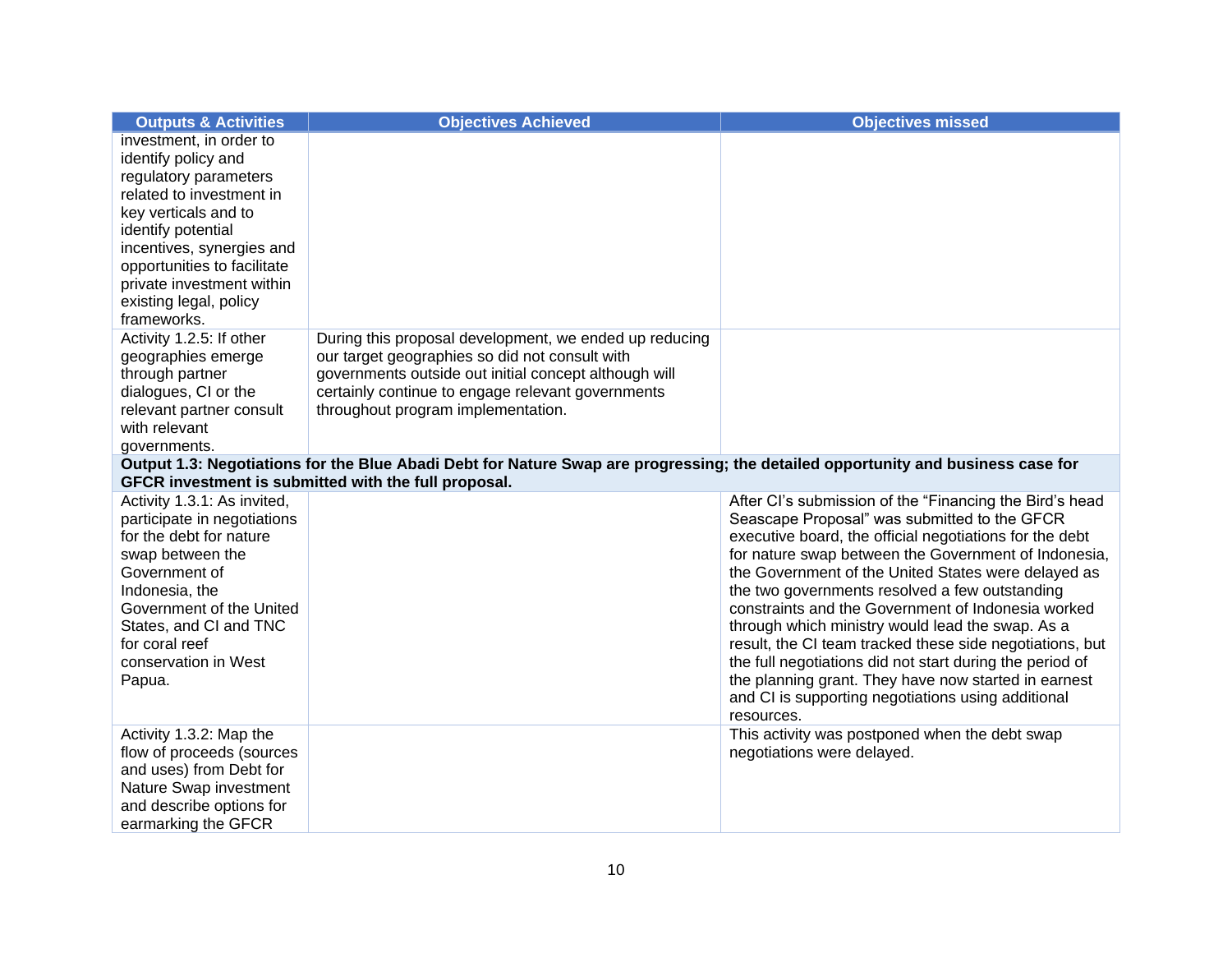| <b>Outputs &amp; Activities</b>                          | <b>Objectives Achieved</b>                                                                                                                                                               | <b>Objectives missed</b>                                     |
|----------------------------------------------------------|------------------------------------------------------------------------------------------------------------------------------------------------------------------------------------------|--------------------------------------------------------------|
| investment, in order to                                  |                                                                                                                                                                                          |                                                              |
| identify policy and                                      |                                                                                                                                                                                          |                                                              |
| regulatory parameters                                    |                                                                                                                                                                                          |                                                              |
| related to investment in                                 |                                                                                                                                                                                          |                                                              |
| key verticals and to                                     |                                                                                                                                                                                          |                                                              |
| identify potential                                       |                                                                                                                                                                                          |                                                              |
| incentives, synergies and<br>opportunities to facilitate |                                                                                                                                                                                          |                                                              |
| private investment within                                |                                                                                                                                                                                          |                                                              |
| existing legal, policy                                   |                                                                                                                                                                                          |                                                              |
| frameworks.                                              |                                                                                                                                                                                          |                                                              |
| Activity 1.2.5: If other                                 | During this proposal development, we ended up reducing                                                                                                                                   |                                                              |
| geographies emerge                                       | our target geographies so did not consult with                                                                                                                                           |                                                              |
| through partner                                          | governments outside out initial concept although will                                                                                                                                    |                                                              |
| dialogues, CI or the                                     | certainly continue to engage relevant governments                                                                                                                                        |                                                              |
| relevant partner consult                                 | throughout program implementation.                                                                                                                                                       |                                                              |
| with relevant                                            |                                                                                                                                                                                          |                                                              |
| governments.                                             |                                                                                                                                                                                          |                                                              |
|                                                          | Output 1.3: Negotiations for the Blue Abadi Debt for Nature Swap are progressing; the detailed opportunity and business case for<br>GFCR investment is submitted with the full proposal. |                                                              |
| Activity 1.3.1: As invited,                              |                                                                                                                                                                                          | After Cl's submission of the "Financing the Bird's head      |
| participate in negotiations                              |                                                                                                                                                                                          | Seascape Proposal" was submitted to the GFCR                 |
| for the debt for nature                                  |                                                                                                                                                                                          | executive board, the official negotiations for the debt      |
| swap between the                                         |                                                                                                                                                                                          | for nature swap between the Government of Indonesia,         |
| Government of                                            |                                                                                                                                                                                          | the Government of the United States were delayed as          |
| Indonesia, the                                           |                                                                                                                                                                                          | the two governments resolved a few outstanding               |
| Government of the United                                 |                                                                                                                                                                                          | constraints and the Government of Indonesia worked           |
| States, and CI and TNC                                   |                                                                                                                                                                                          | through which ministry would lead the swap. As a             |
| for coral reef                                           |                                                                                                                                                                                          | result, the CI team tracked these side negotiations, but     |
| conservation in West                                     |                                                                                                                                                                                          | the full negotiations did not start during the period of     |
| Papua.                                                   |                                                                                                                                                                                          | the planning grant. They have now started in earnest         |
|                                                          |                                                                                                                                                                                          | and CI is supporting negotiations using additional           |
| Activity 1.3.2: Map the                                  |                                                                                                                                                                                          | resources.<br>This activity was postponed when the debt swap |
| flow of proceeds (sources                                |                                                                                                                                                                                          | negotiations were delayed.                                   |
| and uses) from Debt for                                  |                                                                                                                                                                                          |                                                              |
| Nature Swap investment                                   |                                                                                                                                                                                          |                                                              |
| and describe options for                                 |                                                                                                                                                                                          |                                                              |
| earmarking the GFCR                                      |                                                                                                                                                                                          |                                                              |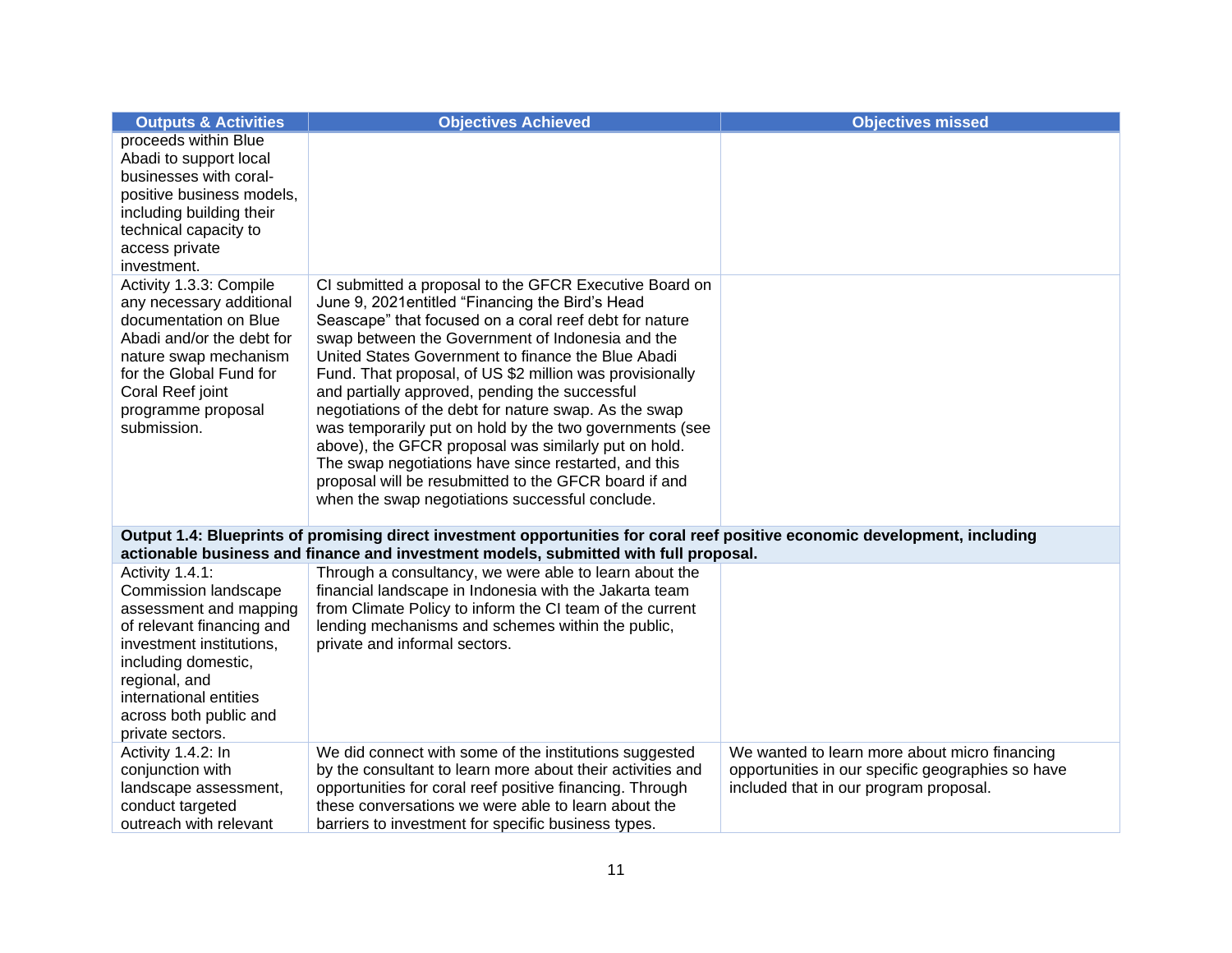| <b>Outputs &amp; Activities</b>                                                                                                                                                                                                            | <b>Objectives Achieved</b>                                                                                                                                                                                                                                                                                                                                                                                                                                                                                                                                                                                                                                                                                                                   | <b>Objectives missed</b>                                                                                                                     |
|--------------------------------------------------------------------------------------------------------------------------------------------------------------------------------------------------------------------------------------------|----------------------------------------------------------------------------------------------------------------------------------------------------------------------------------------------------------------------------------------------------------------------------------------------------------------------------------------------------------------------------------------------------------------------------------------------------------------------------------------------------------------------------------------------------------------------------------------------------------------------------------------------------------------------------------------------------------------------------------------------|----------------------------------------------------------------------------------------------------------------------------------------------|
| proceeds within Blue<br>Abadi to support local<br>businesses with coral-<br>positive business models,<br>including building their<br>technical capacity to<br>access private                                                               |                                                                                                                                                                                                                                                                                                                                                                                                                                                                                                                                                                                                                                                                                                                                              |                                                                                                                                              |
| investment.<br>Activity 1.3.3: Compile<br>any necessary additional<br>documentation on Blue<br>Abadi and/or the debt for<br>nature swap mechanism<br>for the Global Fund for<br>Coral Reef joint<br>programme proposal<br>submission.      | CI submitted a proposal to the GFCR Executive Board on<br>June 9, 2021 entitled "Financing the Bird's Head<br>Seascape" that focused on a coral reef debt for nature<br>swap between the Government of Indonesia and the<br>United States Government to finance the Blue Abadi<br>Fund. That proposal, of US \$2 million was provisionally<br>and partially approved, pending the successful<br>negotiations of the debt for nature swap. As the swap<br>was temporarily put on hold by the two governments (see<br>above), the GFCR proposal was similarly put on hold.<br>The swap negotiations have since restarted, and this<br>proposal will be resubmitted to the GFCR board if and<br>when the swap negotiations successful conclude. |                                                                                                                                              |
|                                                                                                                                                                                                                                            | Output 1.4: Blueprints of promising direct investment opportunities for coral reef positive economic development, including<br>actionable business and finance and investment models, submitted with full proposal.                                                                                                                                                                                                                                                                                                                                                                                                                                                                                                                          |                                                                                                                                              |
| Activity 1.4.1:<br>Commission landscape<br>assessment and mapping<br>of relevant financing and<br>investment institutions,<br>including domestic,<br>regional, and<br>international entities<br>across both public and<br>private sectors. | Through a consultancy, we were able to learn about the<br>financial landscape in Indonesia with the Jakarta team<br>from Climate Policy to inform the CI team of the current<br>lending mechanisms and schemes within the public,<br>private and informal sectors.                                                                                                                                                                                                                                                                                                                                                                                                                                                                           |                                                                                                                                              |
| Activity 1.4.2: In<br>conjunction with<br>landscape assessment,<br>conduct targeted<br>outreach with relevant                                                                                                                              | We did connect with some of the institutions suggested<br>by the consultant to learn more about their activities and<br>opportunities for coral reef positive financing. Through<br>these conversations we were able to learn about the<br>barriers to investment for specific business types.                                                                                                                                                                                                                                                                                                                                                                                                                                               | We wanted to learn more about micro financing<br>opportunities in our specific geographies so have<br>included that in our program proposal. |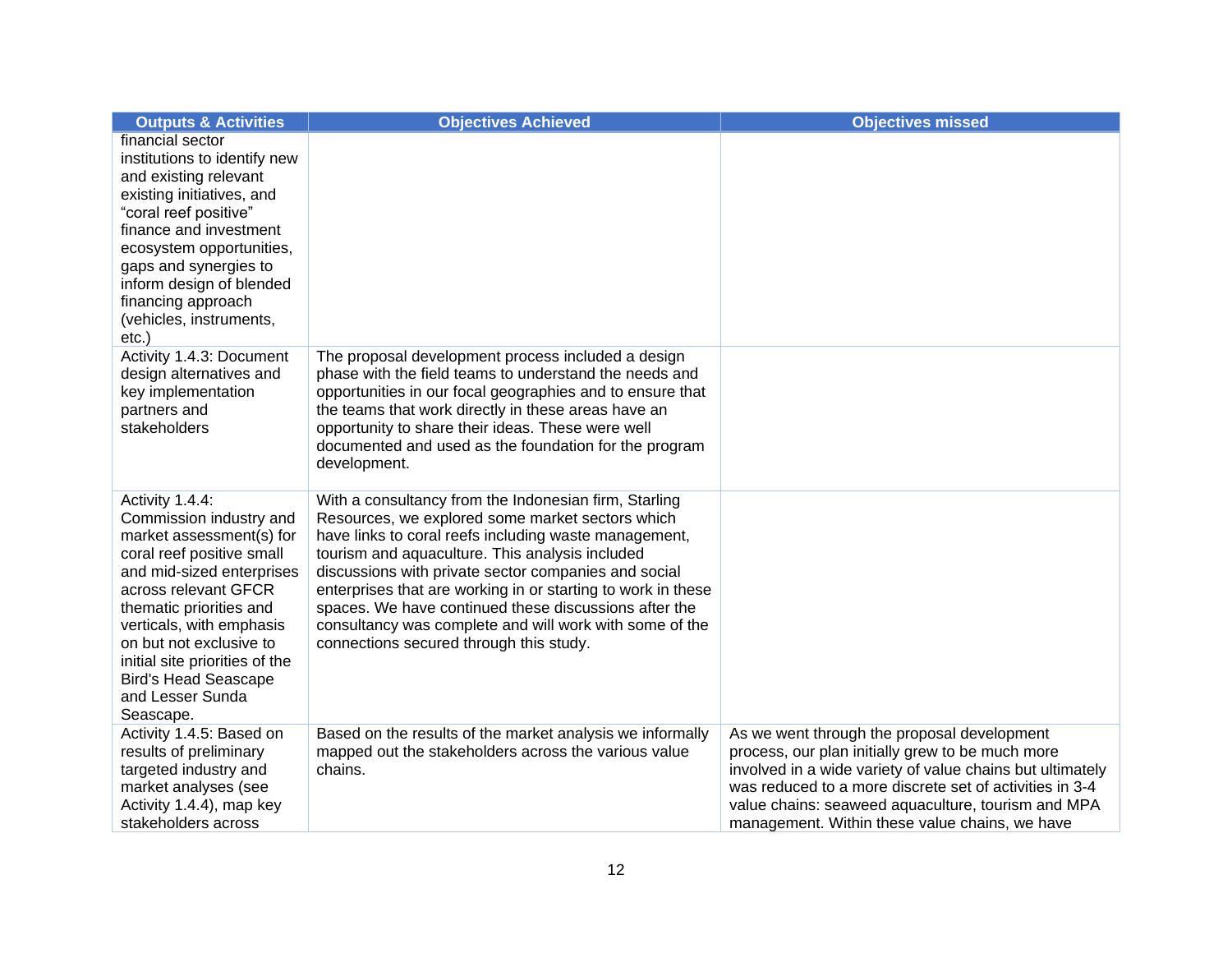| <b>Outputs &amp; Activities</b>                                                                                                                                                                                                                                                                                                              | <b>Objectives Achieved</b>                                                                                                                                                                                                                                                                                                                                                                                                                                                                                   | <b>Objectives missed</b>                                                                                                                                                                                                                                                                                                        |
|----------------------------------------------------------------------------------------------------------------------------------------------------------------------------------------------------------------------------------------------------------------------------------------------------------------------------------------------|--------------------------------------------------------------------------------------------------------------------------------------------------------------------------------------------------------------------------------------------------------------------------------------------------------------------------------------------------------------------------------------------------------------------------------------------------------------------------------------------------------------|---------------------------------------------------------------------------------------------------------------------------------------------------------------------------------------------------------------------------------------------------------------------------------------------------------------------------------|
| financial sector<br>institutions to identify new<br>and existing relevant<br>existing initiatives, and<br>"coral reef positive"<br>finance and investment<br>ecosystem opportunities,<br>gaps and synergies to<br>inform design of blended<br>financing approach<br>(vehicles, instruments,<br>$etc.$ )                                      |                                                                                                                                                                                                                                                                                                                                                                                                                                                                                                              |                                                                                                                                                                                                                                                                                                                                 |
| Activity 1.4.3: Document<br>design alternatives and<br>key implementation<br>partners and<br>stakeholders                                                                                                                                                                                                                                    | The proposal development process included a design<br>phase with the field teams to understand the needs and<br>opportunities in our focal geographies and to ensure that<br>the teams that work directly in these areas have an<br>opportunity to share their ideas. These were well<br>documented and used as the foundation for the program<br>development.                                                                                                                                               |                                                                                                                                                                                                                                                                                                                                 |
| Activity 1.4.4:<br>Commission industry and<br>market assessment(s) for<br>coral reef positive small<br>and mid-sized enterprises<br>across relevant GFCR<br>thematic priorities and<br>verticals, with emphasis<br>on but not exclusive to<br>initial site priorities of the<br><b>Bird's Head Seascape</b><br>and Lesser Sunda<br>Seascape. | With a consultancy from the Indonesian firm, Starling<br>Resources, we explored some market sectors which<br>have links to coral reefs including waste management,<br>tourism and aquaculture. This analysis included<br>discussions with private sector companies and social<br>enterprises that are working in or starting to work in these<br>spaces. We have continued these discussions after the<br>consultancy was complete and will work with some of the<br>connections secured through this study. |                                                                                                                                                                                                                                                                                                                                 |
| Activity 1.4.5: Based on<br>results of preliminary<br>targeted industry and<br>market analyses (see<br>Activity 1.4.4), map key<br>stakeholders across                                                                                                                                                                                       | Based on the results of the market analysis we informally<br>mapped out the stakeholders across the various value<br>chains.                                                                                                                                                                                                                                                                                                                                                                                 | As we went through the proposal development<br>process, our plan initially grew to be much more<br>involved in a wide variety of value chains but ultimately<br>was reduced to a more discrete set of activities in 3-4<br>value chains: seaweed aquaculture, tourism and MPA<br>management. Within these value chains, we have |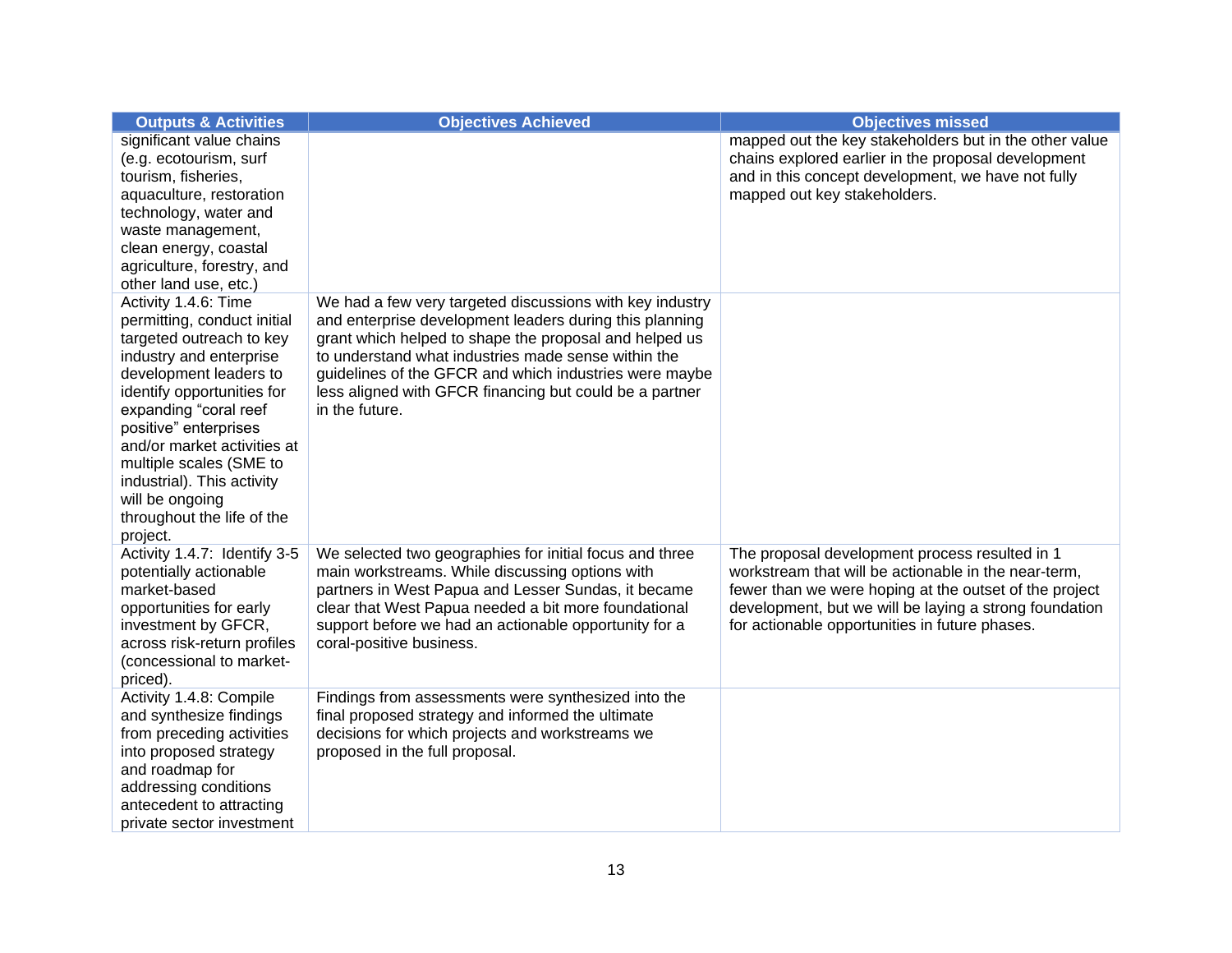| <b>Outputs &amp; Activities</b>                                                                                                                                                                                                                                                                                                                                           | <b>Objectives Achieved</b>                                                                                                                                                                                                                                                                                                                                                  | <b>Objectives missed</b>                                                                                                                                                                                                                                                     |
|---------------------------------------------------------------------------------------------------------------------------------------------------------------------------------------------------------------------------------------------------------------------------------------------------------------------------------------------------------------------------|-----------------------------------------------------------------------------------------------------------------------------------------------------------------------------------------------------------------------------------------------------------------------------------------------------------------------------------------------------------------------------|------------------------------------------------------------------------------------------------------------------------------------------------------------------------------------------------------------------------------------------------------------------------------|
| significant value chains<br>(e.g. ecotourism, surf<br>tourism, fisheries,<br>aquaculture, restoration<br>technology, water and<br>waste management,<br>clean energy, coastal<br>agriculture, forestry, and<br>other land use, etc.)                                                                                                                                       |                                                                                                                                                                                                                                                                                                                                                                             | mapped out the key stakeholders but in the other value<br>chains explored earlier in the proposal development<br>and in this concept development, we have not fully<br>mapped out key stakeholders.                                                                          |
| Activity 1.4.6: Time<br>permitting, conduct initial<br>targeted outreach to key<br>industry and enterprise<br>development leaders to<br>identify opportunities for<br>expanding "coral reef<br>positive" enterprises<br>and/or market activities at<br>multiple scales (SME to<br>industrial). This activity<br>will be ongoing<br>throughout the life of the<br>project. | We had a few very targeted discussions with key industry<br>and enterprise development leaders during this planning<br>grant which helped to shape the proposal and helped us<br>to understand what industries made sense within the<br>guidelines of the GFCR and which industries were maybe<br>less aligned with GFCR financing but could be a partner<br>in the future. |                                                                                                                                                                                                                                                                              |
| Activity 1.4.7: Identify 3-5<br>potentially actionable<br>market-based<br>opportunities for early<br>investment by GFCR,<br>across risk-return profiles<br>(concessional to market-<br>priced).                                                                                                                                                                           | We selected two geographies for initial focus and three<br>main workstreams. While discussing options with<br>partners in West Papua and Lesser Sundas, it became<br>clear that West Papua needed a bit more foundational<br>support before we had an actionable opportunity for a<br>coral-positive business.                                                              | The proposal development process resulted in 1<br>workstream that will be actionable in the near-term,<br>fewer than we were hoping at the outset of the project<br>development, but we will be laying a strong foundation<br>for actionable opportunities in future phases. |
| Activity 1.4.8: Compile<br>and synthesize findings<br>from preceding activities<br>into proposed strategy<br>and roadmap for<br>addressing conditions<br>antecedent to attracting<br>private sector investment                                                                                                                                                            | Findings from assessments were synthesized into the<br>final proposed strategy and informed the ultimate<br>decisions for which projects and workstreams we<br>proposed in the full proposal.                                                                                                                                                                               |                                                                                                                                                                                                                                                                              |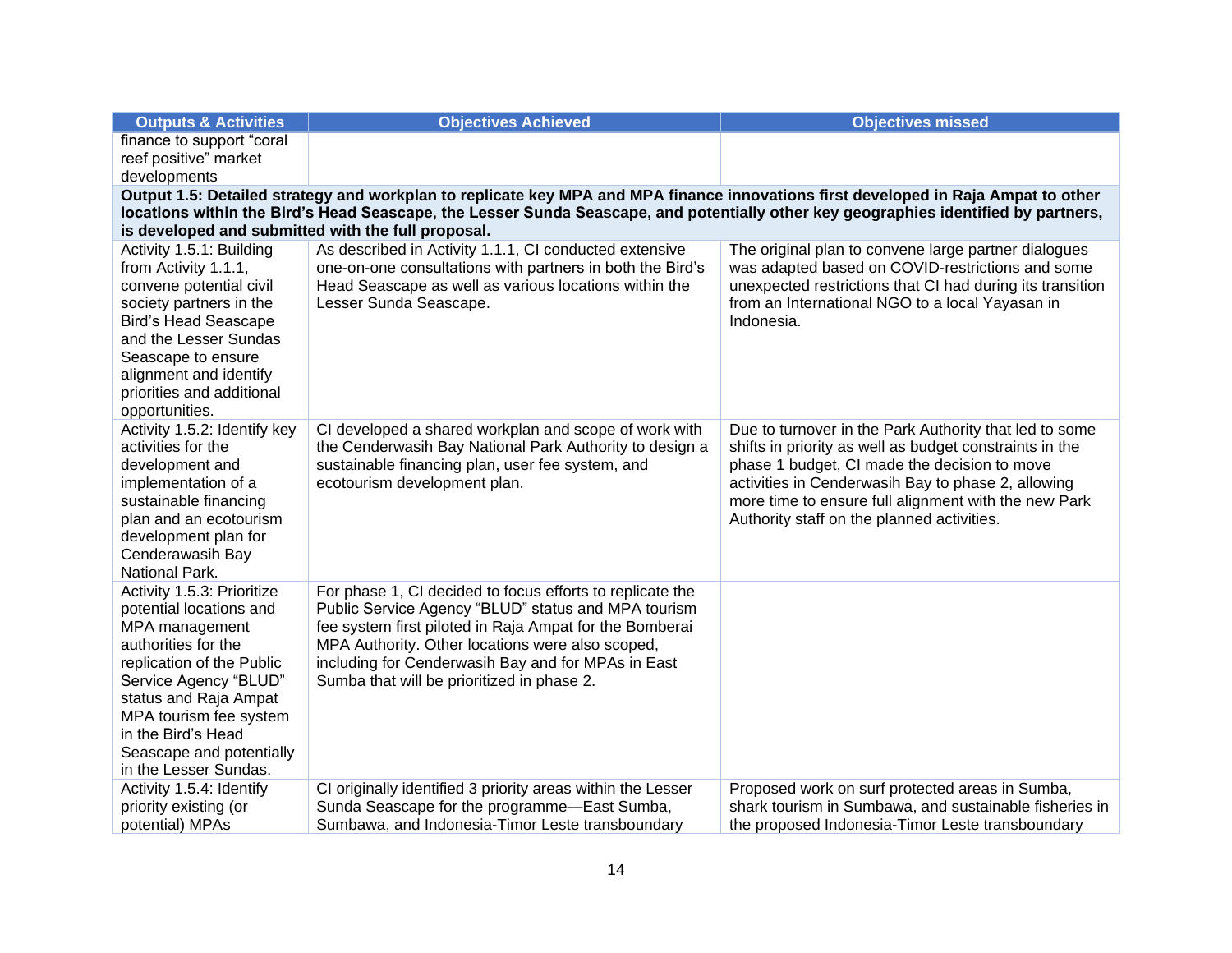| <b>Outputs &amp; Activities</b>                                                                                                                                                                                                                                           | <b>Objectives Achieved</b>                                                                       | <b>Objectives missed</b>                                                                           |  |  |  |
|---------------------------------------------------------------------------------------------------------------------------------------------------------------------------------------------------------------------------------------------------------------------------|--------------------------------------------------------------------------------------------------|----------------------------------------------------------------------------------------------------|--|--|--|
| finance to support "coral                                                                                                                                                                                                                                                 |                                                                                                  |                                                                                                    |  |  |  |
| reef positive" market                                                                                                                                                                                                                                                     |                                                                                                  |                                                                                                    |  |  |  |
| developments                                                                                                                                                                                                                                                              |                                                                                                  |                                                                                                    |  |  |  |
| Output 1.5: Detailed strategy and workplan to replicate key MPA and MPA finance innovations first developed in Raja Ampat to other<br>locations within the Bird's Head Seascape, the Lesser Sunda Seascape, and potentially other key geographies identified by partners, |                                                                                                  |                                                                                                    |  |  |  |
| is developed and submitted with the full proposal.                                                                                                                                                                                                                        |                                                                                                  |                                                                                                    |  |  |  |
| Activity 1.5.1: Building                                                                                                                                                                                                                                                  | As described in Activity 1.1.1, CI conducted extensive                                           | The original plan to convene large partner dialogues                                               |  |  |  |
| from Activity 1.1.1,                                                                                                                                                                                                                                                      | one-on-one consultations with partners in both the Bird's                                        | was adapted based on COVID-restrictions and some                                                   |  |  |  |
| convene potential civil                                                                                                                                                                                                                                                   | Head Seascape as well as various locations within the                                            | unexpected restrictions that CI had during its transition                                          |  |  |  |
| society partners in the                                                                                                                                                                                                                                                   | Lesser Sunda Seascape.                                                                           | from an International NGO to a local Yayasan in                                                    |  |  |  |
| <b>Bird's Head Seascape</b>                                                                                                                                                                                                                                               |                                                                                                  | Indonesia.                                                                                         |  |  |  |
| and the Lesser Sundas                                                                                                                                                                                                                                                     |                                                                                                  |                                                                                                    |  |  |  |
| Seascape to ensure<br>alignment and identify                                                                                                                                                                                                                              |                                                                                                  |                                                                                                    |  |  |  |
| priorities and additional                                                                                                                                                                                                                                                 |                                                                                                  |                                                                                                    |  |  |  |
| opportunities.                                                                                                                                                                                                                                                            |                                                                                                  |                                                                                                    |  |  |  |
| Activity 1.5.2: Identify key                                                                                                                                                                                                                                              | CI developed a shared workplan and scope of work with                                            | Due to turnover in the Park Authority that led to some                                             |  |  |  |
| activities for the                                                                                                                                                                                                                                                        | the Cenderwasih Bay National Park Authority to design a                                          | shifts in priority as well as budget constraints in the                                            |  |  |  |
| development and                                                                                                                                                                                                                                                           | sustainable financing plan, user fee system, and                                                 | phase 1 budget, CI made the decision to move                                                       |  |  |  |
| implementation of a                                                                                                                                                                                                                                                       | ecotourism development plan.                                                                     | activities in Cenderwasih Bay to phase 2, allowing                                                 |  |  |  |
| sustainable financing<br>plan and an ecotourism                                                                                                                                                                                                                           |                                                                                                  | more time to ensure full alignment with the new Park<br>Authority staff on the planned activities. |  |  |  |
| development plan for                                                                                                                                                                                                                                                      |                                                                                                  |                                                                                                    |  |  |  |
| Cenderawasih Bay                                                                                                                                                                                                                                                          |                                                                                                  |                                                                                                    |  |  |  |
| National Park.                                                                                                                                                                                                                                                            |                                                                                                  |                                                                                                    |  |  |  |
| Activity 1.5.3: Prioritize                                                                                                                                                                                                                                                | For phase 1, CI decided to focus efforts to replicate the                                        |                                                                                                    |  |  |  |
| potential locations and                                                                                                                                                                                                                                                   | Public Service Agency "BLUD" status and MPA tourism                                              |                                                                                                    |  |  |  |
| MPA management                                                                                                                                                                                                                                                            | fee system first piloted in Raja Ampat for the Bomberai                                          |                                                                                                    |  |  |  |
| authorities for the                                                                                                                                                                                                                                                       | MPA Authority. Other locations were also scoped,                                                 |                                                                                                    |  |  |  |
| replication of the Public<br>Service Agency "BLUD"                                                                                                                                                                                                                        | including for Cenderwasih Bay and for MPAs in East<br>Sumba that will be prioritized in phase 2. |                                                                                                    |  |  |  |
| status and Raja Ampat                                                                                                                                                                                                                                                     |                                                                                                  |                                                                                                    |  |  |  |
| MPA tourism fee system                                                                                                                                                                                                                                                    |                                                                                                  |                                                                                                    |  |  |  |
| in the Bird's Head                                                                                                                                                                                                                                                        |                                                                                                  |                                                                                                    |  |  |  |
| Seascape and potentially                                                                                                                                                                                                                                                  |                                                                                                  |                                                                                                    |  |  |  |
| in the Lesser Sundas.                                                                                                                                                                                                                                                     |                                                                                                  |                                                                                                    |  |  |  |
| Activity 1.5.4: Identify                                                                                                                                                                                                                                                  | CI originally identified 3 priority areas within the Lesser                                      | Proposed work on surf protected areas in Sumba,                                                    |  |  |  |
| priority existing (or                                                                                                                                                                                                                                                     | Sunda Seascape for the programme-East Sumba,                                                     | shark tourism in Sumbawa, and sustainable fisheries in                                             |  |  |  |
| potential) MPAs                                                                                                                                                                                                                                                           | Sumbawa, and Indonesia-Timor Leste transboundary                                                 | the proposed Indonesia-Timor Leste transboundary                                                   |  |  |  |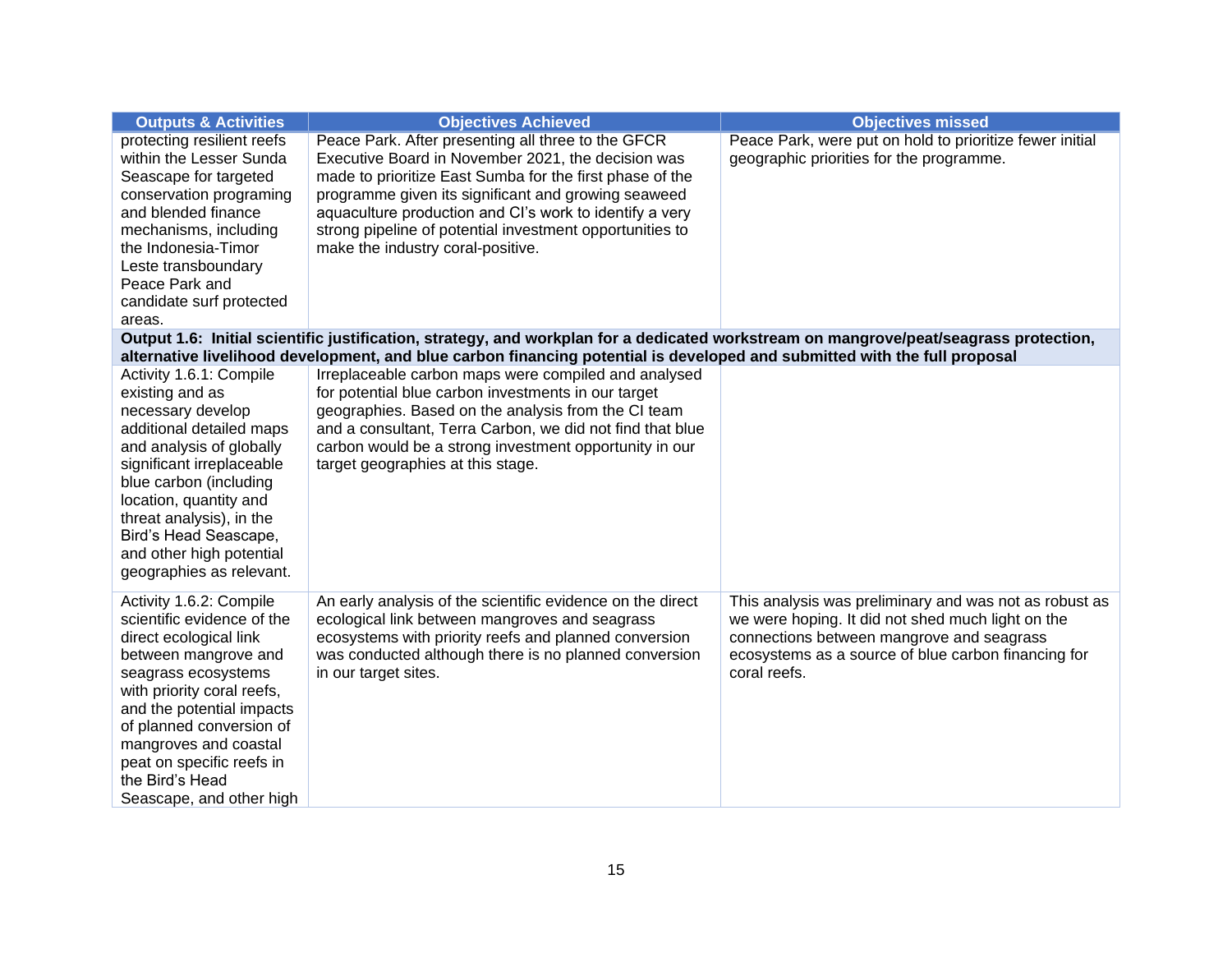| <b>Outputs &amp; Activities</b>                                                                                                                                                                                                                                                                                            | <b>Objectives Achieved</b>                                                                                                                                                                                                                                                                                                                                                              | <b>Objectives missed</b>                                                                                                                                                                                                        |  |  |  |
|----------------------------------------------------------------------------------------------------------------------------------------------------------------------------------------------------------------------------------------------------------------------------------------------------------------------------|-----------------------------------------------------------------------------------------------------------------------------------------------------------------------------------------------------------------------------------------------------------------------------------------------------------------------------------------------------------------------------------------|---------------------------------------------------------------------------------------------------------------------------------------------------------------------------------------------------------------------------------|--|--|--|
| protecting resilient reefs<br>within the Lesser Sunda<br>Seascape for targeted<br>conservation programing<br>and blended finance<br>mechanisms, including<br>the Indonesia-Timor<br>Leste transboundary<br>Peace Park and<br>candidate surf protected<br>areas.                                                            | Peace Park. After presenting all three to the GFCR<br>Executive Board in November 2021, the decision was<br>made to prioritize East Sumba for the first phase of the<br>programme given its significant and growing seaweed<br>aquaculture production and CI's work to identify a very<br>strong pipeline of potential investment opportunities to<br>make the industry coral-positive. | Peace Park, were put on hold to prioritize fewer initial<br>geographic priorities for the programme.                                                                                                                            |  |  |  |
| Output 1.6: Initial scientific justification, strategy, and workplan for a dedicated workstream on mangrove/peat/seagrass protection,<br>alternative livelihood development, and blue carbon financing potential is developed and submitted with the full proposal                                                         |                                                                                                                                                                                                                                                                                                                                                                                         |                                                                                                                                                                                                                                 |  |  |  |
| Activity 1.6.1: Compile<br>existing and as<br>necessary develop<br>additional detailed maps<br>and analysis of globally<br>significant irreplaceable<br>blue carbon (including<br>location, quantity and<br>threat analysis), in the<br>Bird's Head Seascape,<br>and other high potential<br>geographies as relevant.      | Irreplaceable carbon maps were compiled and analysed<br>for potential blue carbon investments in our target<br>geographies. Based on the analysis from the CI team<br>and a consultant, Terra Carbon, we did not find that blue<br>carbon would be a strong investment opportunity in our<br>target geographies at this stage.                                                          |                                                                                                                                                                                                                                 |  |  |  |
| Activity 1.6.2: Compile<br>scientific evidence of the<br>direct ecological link<br>between mangrove and<br>seagrass ecosystems<br>with priority coral reefs,<br>and the potential impacts<br>of planned conversion of<br>mangroves and coastal<br>peat on specific reefs in<br>the Bird's Head<br>Seascape, and other high | An early analysis of the scientific evidence on the direct<br>ecological link between mangroves and seagrass<br>ecosystems with priority reefs and planned conversion<br>was conducted although there is no planned conversion<br>in our target sites.                                                                                                                                  | This analysis was preliminary and was not as robust as<br>we were hoping. It did not shed much light on the<br>connections between mangrove and seagrass<br>ecosystems as a source of blue carbon financing for<br>coral reefs. |  |  |  |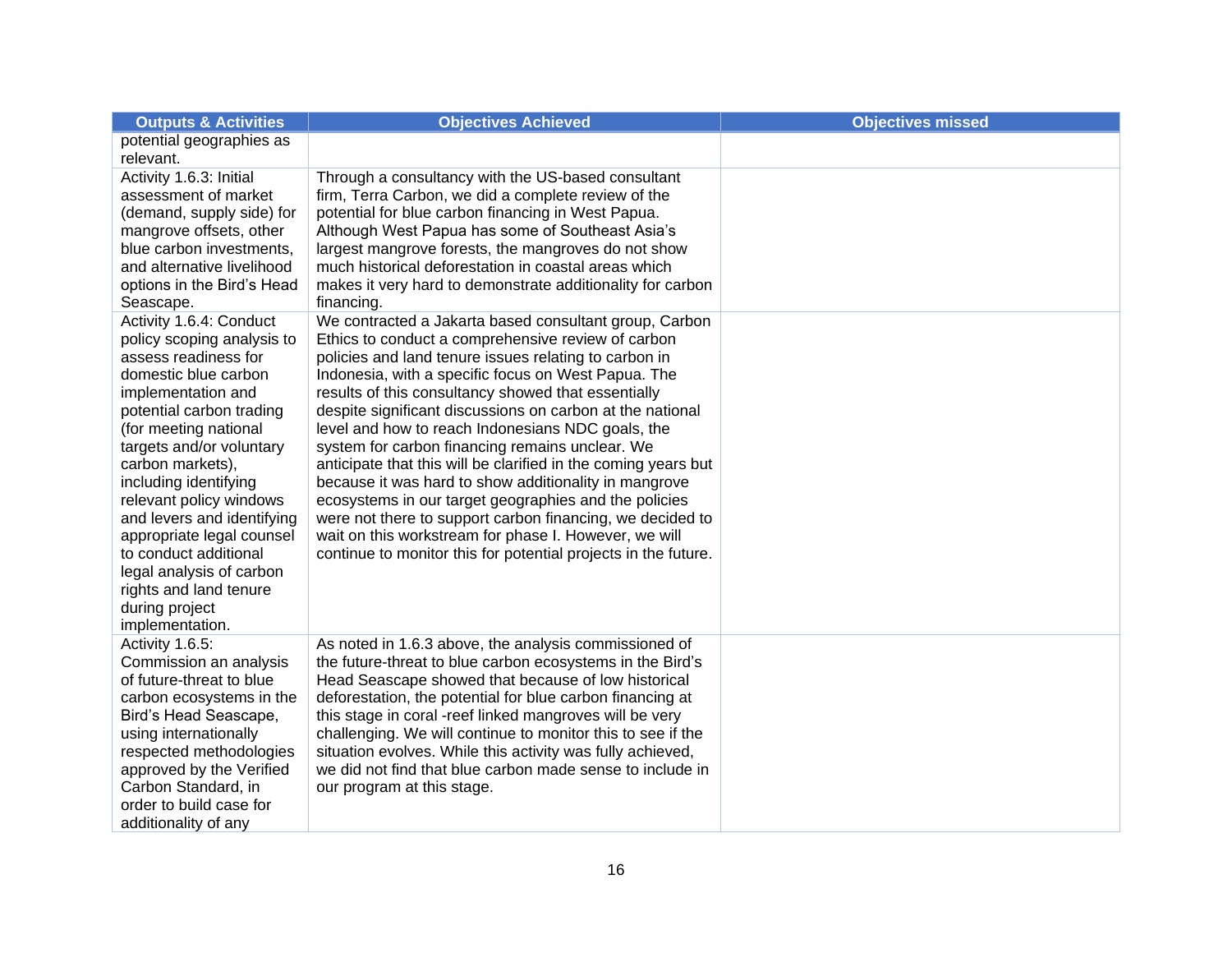| <b>Outputs &amp; Activities</b>                       | <b>Objectives Achieved</b>                                                                                       | <b>Objectives missed</b> |
|-------------------------------------------------------|------------------------------------------------------------------------------------------------------------------|--------------------------|
| potential geographies as                              |                                                                                                                  |                          |
| relevant.                                             |                                                                                                                  |                          |
| Activity 1.6.3: Initial                               | Through a consultancy with the US-based consultant                                                               |                          |
| assessment of market                                  | firm, Terra Carbon, we did a complete review of the                                                              |                          |
| (demand, supply side) for                             | potential for blue carbon financing in West Papua.                                                               |                          |
| mangrove offsets, other                               | Although West Papua has some of Southeast Asia's                                                                 |                          |
| blue carbon investments,                              | largest mangrove forests, the mangroves do not show                                                              |                          |
| and alternative livelihood                            | much historical deforestation in coastal areas which                                                             |                          |
| options in the Bird's Head                            | makes it very hard to demonstrate additionality for carbon                                                       |                          |
| Seascape.                                             | financing.                                                                                                       |                          |
| Activity 1.6.4: Conduct<br>policy scoping analysis to | We contracted a Jakarta based consultant group, Carbon<br>Ethics to conduct a comprehensive review of carbon     |                          |
| assess readiness for                                  | policies and land tenure issues relating to carbon in                                                            |                          |
| domestic blue carbon                                  | Indonesia, with a specific focus on West Papua. The                                                              |                          |
| implementation and                                    | results of this consultancy showed that essentially                                                              |                          |
| potential carbon trading                              | despite significant discussions on carbon at the national                                                        |                          |
| (for meeting national                                 | level and how to reach Indonesians NDC goals, the                                                                |                          |
| targets and/or voluntary                              | system for carbon financing remains unclear. We                                                                  |                          |
| carbon markets),                                      | anticipate that this will be clarified in the coming years but                                                   |                          |
| including identifying                                 | because it was hard to show additionality in mangrove                                                            |                          |
| relevant policy windows                               | ecosystems in our target geographies and the policies                                                            |                          |
| and levers and identifying                            | were not there to support carbon financing, we decided to                                                        |                          |
| appropriate legal counsel                             | wait on this workstream for phase I. However, we will                                                            |                          |
| to conduct additional                                 | continue to monitor this for potential projects in the future.                                                   |                          |
| legal analysis of carbon                              |                                                                                                                  |                          |
| rights and land tenure                                |                                                                                                                  |                          |
| during project                                        |                                                                                                                  |                          |
| implementation.                                       |                                                                                                                  |                          |
| Activity 1.6.5:                                       | As noted in 1.6.3 above, the analysis commissioned of                                                            |                          |
| Commission an analysis                                | the future-threat to blue carbon ecosystems in the Bird's                                                        |                          |
| of future-threat to blue                              | Head Seascape showed that because of low historical<br>deforestation, the potential for blue carbon financing at |                          |
| carbon ecosystems in the<br>Bird's Head Seascape,     | this stage in coral -reef linked mangroves will be very                                                          |                          |
| using internationally                                 | challenging. We will continue to monitor this to see if the                                                      |                          |
| respected methodologies                               | situation evolves. While this activity was fully achieved,                                                       |                          |
| approved by the Verified                              | we did not find that blue carbon made sense to include in                                                        |                          |
| Carbon Standard, in                                   | our program at this stage.                                                                                       |                          |
| order to build case for                               |                                                                                                                  |                          |
| additionality of any                                  |                                                                                                                  |                          |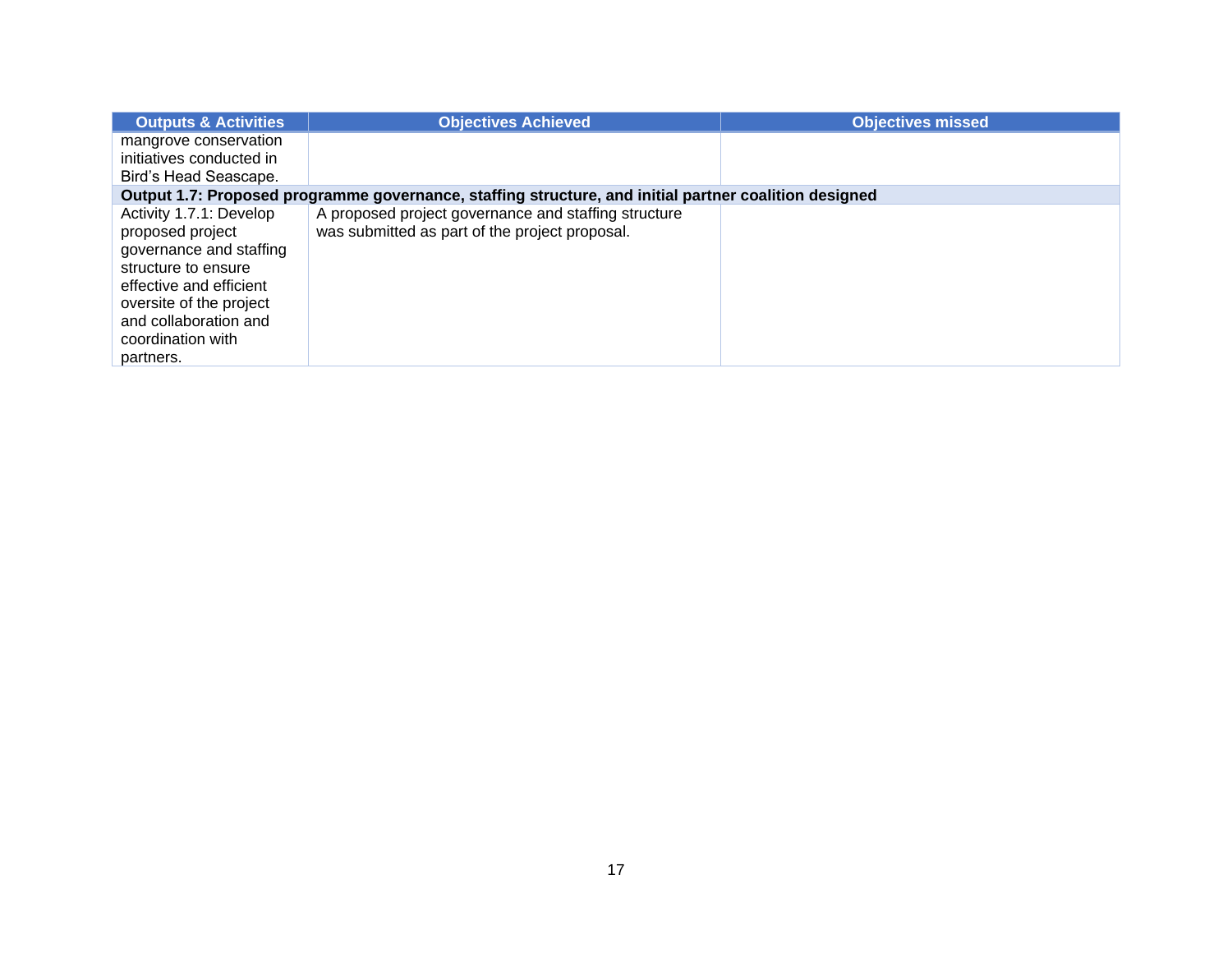| <b>Outputs &amp; Activities</b>                                                                                                                                                                                | <b>Objectives Achieved</b>                                                                             | <b>Objectives missed</b> |  |  |
|----------------------------------------------------------------------------------------------------------------------------------------------------------------------------------------------------------------|--------------------------------------------------------------------------------------------------------|--------------------------|--|--|
| mangrove conservation                                                                                                                                                                                          |                                                                                                        |                          |  |  |
| initiatives conducted in                                                                                                                                                                                       |                                                                                                        |                          |  |  |
| Bird's Head Seascape.                                                                                                                                                                                          |                                                                                                        |                          |  |  |
| Output 1.7: Proposed programme governance, staffing structure, and initial partner coalition designed                                                                                                          |                                                                                                        |                          |  |  |
| Activity 1.7.1: Develop<br>proposed project<br>governance and staffing<br>structure to ensure<br>effective and efficient<br>oversite of the project<br>and collaboration and<br>coordination with<br>partners. | A proposed project governance and staffing structure<br>was submitted as part of the project proposal. |                          |  |  |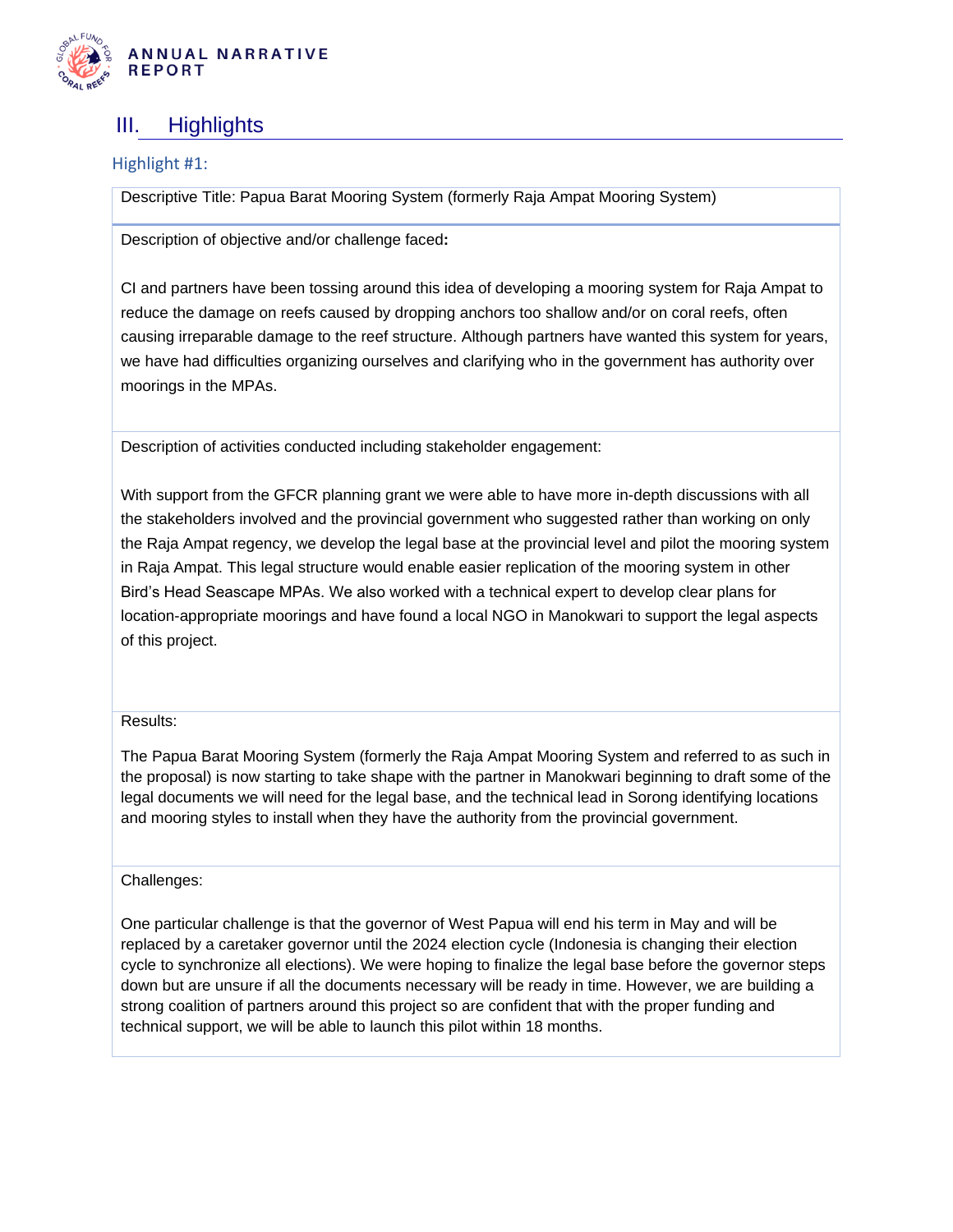

### <span id="page-17-0"></span>III. Highlights

Highlight #1:

Descriptive Title: Papua Barat Mooring System (formerly Raja Ampat Mooring System)

Description of objective and/or challenge faced**:**

CI and partners have been tossing around this idea of developing a mooring system for Raja Ampat to reduce the damage on reefs caused by dropping anchors too shallow and/or on coral reefs, often causing irreparable damage to the reef structure. Although partners have wanted this system for years, we have had difficulties organizing ourselves and clarifying who in the government has authority over moorings in the MPAs.

Description of activities conducted including stakeholder engagement:

With support from the GFCR planning grant we were able to have more in-depth discussions with all the stakeholders involved and the provincial government who suggested rather than working on only the Raja Ampat regency, we develop the legal base at the provincial level and pilot the mooring system in Raja Ampat. This legal structure would enable easier replication of the mooring system in other Bird's Head Seascape MPAs. We also worked with a technical expert to develop clear plans for location-appropriate moorings and have found a local NGO in Manokwari to support the legal aspects of this project.

#### Results:

The Papua Barat Mooring System (formerly the Raja Ampat Mooring System and referred to as such in the proposal) is now starting to take shape with the partner in Manokwari beginning to draft some of the legal documents we will need for the legal base, and the technical lead in Sorong identifying locations and mooring styles to install when they have the authority from the provincial government.

#### Challenges:

One particular challenge is that the governor of West Papua will end his term in May and will be replaced by a caretaker governor until the 2024 election cycle (Indonesia is changing their election cycle to synchronize all elections). We were hoping to finalize the legal base before the governor steps down but are unsure if all the documents necessary will be ready in time. However, we are building a strong coalition of partners around this project so are confident that with the proper funding and technical support, we will be able to launch this pilot within 18 months.